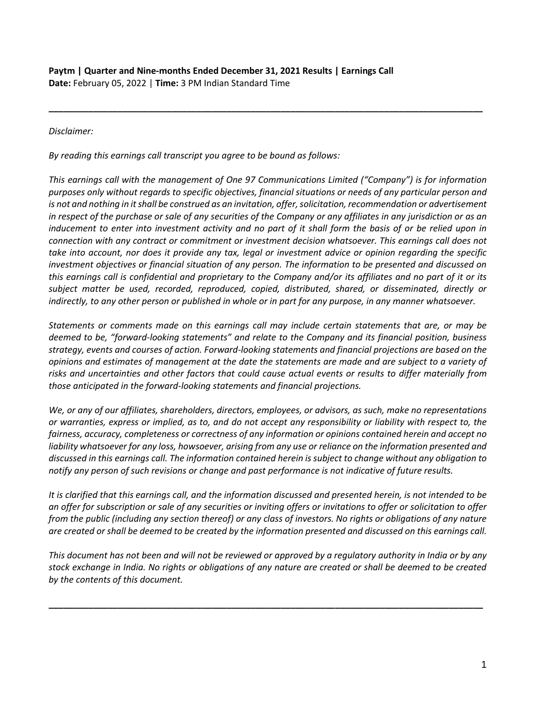## *Disclaimer:*

*By reading this earnings call transcript you agree to be bound as follows:*

*This earnings call with the management of One 97 Communications Limited ("Company") is for information purposes only without regards to specific objectives, financial situations or needs of any particular person and is not and nothing in it shall be construed as an invitation, offer, solicitation, recommendation or advertisement in respect of the purchase or sale of any securities of the Company or any affiliates in any jurisdiction or as an inducement to enter into investment activity and no part of it shall form the basis of or be relied upon in connection with any contract or commitment or investment decision whatsoever. This earnings call does not take into account, nor does it provide any tax, legal or investment advice or opinion regarding the specific investment objectives or financial situation of any person. The information to be presented and discussed on this earnings call is confidential and proprietary to the Company and/or its affiliates and no part of it or its subject matter be used, recorded, reproduced, copied, distributed, shared, or disseminated, directly or indirectly, to any other person or published in whole or in part for any purpose, in any manner whatsoever.* 

**\_\_\_\_\_\_\_\_\_\_\_\_\_\_\_\_\_\_\_\_\_\_\_\_\_\_\_\_\_\_\_\_\_\_\_\_\_\_\_\_\_\_\_\_\_\_\_\_\_\_\_\_\_\_\_\_\_\_\_\_\_\_\_\_\_\_\_\_\_\_\_\_\_\_\_\_\_\_\_\_\_\_\_\_\_\_\_\_**

*Statements or comments made on this earnings call may include certain statements that are, or may be deemed to be, "forward-looking statements" and relate to the Company and its financial position, business strategy, events and courses of action. Forward-looking statements and financial projections are based on the opinions and estimates of management at the date the statements are made and are subject to a variety of risks and uncertainties and other factors that could cause actual events or results to differ materially from those anticipated in the forward-looking statements and financial projections.*

*We, or any of our affiliates, shareholders, directors, employees, or advisors, as such, make no representations or warranties, express or implied, as to, and do not accept any responsibility or liability with respect to, the fairness, accuracy, completeness or correctness of any information or opinions contained herein and accept no liability whatsoever for any loss, howsoever, arising from any use or reliance on the information presented and discussed in this earnings call. The information contained herein is subject to change without any obligation to notify any person of such revisions or change and past performance is not indicative of future results.*

*It is clarified that this earnings call, and the information discussed and presented herein, is not intended to be an offer for subscription or sale of any securities or inviting offers or invitations to offer or solicitation to offer from the public (including any section thereof) or any class of investors. No rights or obligations of any nature are created or shall be deemed to be created by the information presented and discussed on this earnings call.*

*This document has not been and will not be reviewed or approved by a regulatory authority in India or by any stock exchange in India. No rights or obligations of any nature are created or shall be deemed to be created by the contents of this document.* 

**\_\_\_\_\_\_\_\_\_\_\_\_\_\_\_\_\_\_\_\_\_\_\_\_\_\_\_\_\_\_\_\_\_\_\_\_\_\_\_\_\_\_\_\_\_\_\_\_\_\_\_\_\_\_\_\_\_\_\_\_\_\_\_\_\_\_\_\_\_\_\_\_\_\_\_\_\_\_\_\_\_\_\_\_\_\_\_\_**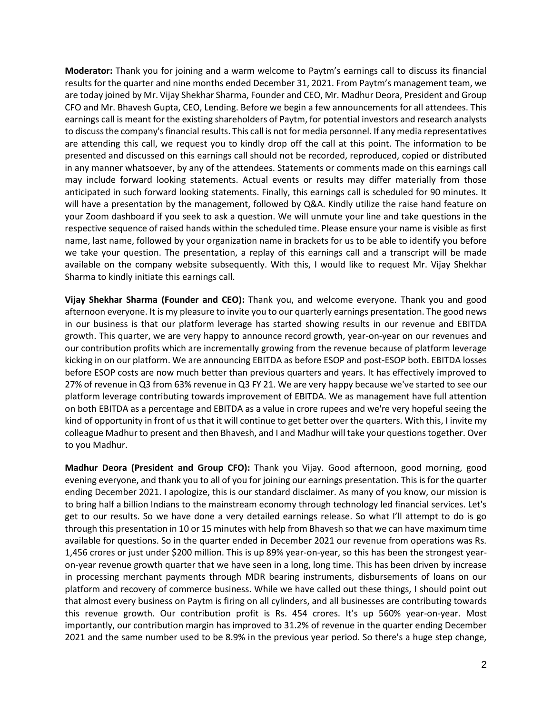**Moderator:** Thank you for joining and a warm welcome to Paytm's earnings call to discuss its financial results for the quarter and nine months ended December 31, 2021. From Paytm's management team, we are today joined by Mr. Vijay Shekhar Sharma, Founder and CEO, Mr. Madhur Deora, President and Group CFO and Mr. Bhavesh Gupta, CEO, Lending. Before we begin a few announcements for all attendees. This earnings call is meant for the existing shareholders of Paytm, for potential investors and research analysts to discuss the company's financial results. This call is not for media personnel. If any media representatives are attending this call, we request you to kindly drop off the call at this point. The information to be presented and discussed on this earnings call should not be recorded, reproduced, copied or distributed in any manner whatsoever, by any of the attendees. Statements or comments made on this earnings call may include forward looking statements. Actual events or results may differ materially from those anticipated in such forward looking statements. Finally, this earnings call is scheduled for 90 minutes. It will have a presentation by the management, followed by Q&A. Kindly utilize the raise hand feature on your Zoom dashboard if you seek to ask a question. We will unmute your line and take questions in the respective sequence of raised hands within the scheduled time. Please ensure your name is visible as first name, last name, followed by your organization name in brackets for us to be able to identify you before we take your question. The presentation, a replay of this earnings call and a transcript will be made available on the company website subsequently. With this, I would like to request Mr. Vijay Shekhar Sharma to kindly initiate this earnings call.

**Vijay Shekhar Sharma (Founder and CEO):** Thank you, and welcome everyone. Thank you and good afternoon everyone. It is my pleasure to invite you to our quarterly earnings presentation. The good news in our business is that our platform leverage has started showing results in our revenue and EBITDA growth. This quarter, we are very happy to announce record growth, year-on-year on our revenues and our contribution profits which are incrementally growing from the revenue because of platform leverage kicking in on our platform. We are announcing EBITDA as before ESOP and post-ESOP both. EBITDA losses before ESOP costs are now much better than previous quarters and years. It has effectively improved to 27% of revenue in Q3 from 63% revenue in Q3 FY 21. We are very happy because we've started to see our platform leverage contributing towards improvement of EBITDA. We as management have full attention on both EBITDA as a percentage and EBITDA as a value in crore rupees and we're very hopeful seeing the kind of opportunity in front of us that it will continue to get better over the quarters. With this, I invite my colleague Madhur to present and then Bhavesh, and I and Madhur will take your questions together. Over to you Madhur.

**Madhur Deora (President and Group CFO):** Thank you Vijay. Good afternoon, good morning, good evening everyone, and thank you to all of you for joining our earnings presentation. This is for the quarter ending December 2021. I apologize, this is our standard disclaimer. As many of you know, our mission is to bring half a billion Indians to the mainstream economy through technology led financial services. Let's get to our results. So we have done a very detailed earnings release. So what I'll attempt to do is go through this presentation in 10 or 15 minutes with help from Bhavesh so that we can have maximum time available for questions. So in the quarter ended in December 2021 our revenue from operations was Rs. 1,456 crores or just under \$200 million. This is up 89% year-on-year, so this has been the strongest yearon-year revenue growth quarter that we have seen in a long, long time. This has been driven by increase in processing merchant payments through MDR bearing instruments, disbursements of loans on our platform and recovery of commerce business. While we have called out these things, I should point out that almost every business on Paytm is firing on all cylinders, and all businesses are contributing towards this revenue growth. Our contribution profit is Rs. 454 crores. It's up 560% year-on-year. Most importantly, our contribution margin has improved to 31.2% of revenue in the quarter ending December 2021 and the same number used to be 8.9% in the previous year period. So there's a huge step change,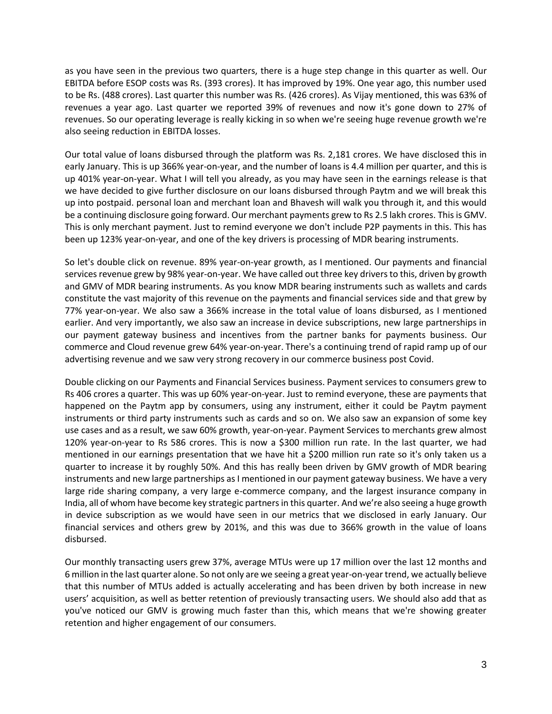as you have seen in the previous two quarters, there is a huge step change in this quarter as well. Our EBITDA before ESOP costs was Rs. (393 crores). It has improved by 19%. One year ago, this number used to be Rs. (488 crores). Last quarter this number was Rs. (426 crores). As Vijay mentioned, this was 63% of revenues a year ago. Last quarter we reported 39% of revenues and now it's gone down to 27% of revenues. So our operating leverage is really kicking in so when we're seeing huge revenue growth we're also seeing reduction in EBITDA losses.

Our total value of loans disbursed through the platform was Rs. 2,181 crores. We have disclosed this in early January. This is up 366% year-on-year, and the number of loans is 4.4 million per quarter, and this is up 401% year-on-year. What I will tell you already, as you may have seen in the earnings release is that we have decided to give further disclosure on our loans disbursed through Paytm and we will break this up into postpaid. personal loan and merchant loan and Bhavesh will walk you through it, and this would be a continuing disclosure going forward. Our merchant payments grew to Rs 2.5 lakh crores. This is GMV. This is only merchant payment. Just to remind everyone we don't include P2P payments in this. This has been up 123% year-on-year, and one of the key drivers is processing of MDR bearing instruments.

So let's double click on revenue. 89% year-on-year growth, as I mentioned. Our payments and financial services revenue grew by 98% year-on-year. We have called out three key drivers to this, driven by growth and GMV of MDR bearing instruments. As you know MDR bearing instruments such as wallets and cards constitute the vast majority of this revenue on the payments and financial services side and that grew by 77% year-on-year. We also saw a 366% increase in the total value of loans disbursed, as I mentioned earlier. And very importantly, we also saw an increase in device subscriptions, new large partnerships in our payment gateway business and incentives from the partner banks for payments business. Our commerce and Cloud revenue grew 64% year-on-year. There's a continuing trend of rapid ramp up of our advertising revenue and we saw very strong recovery in our commerce business post Covid.

Double clicking on our Payments and Financial Services business. Payment services to consumers grew to Rs 406 crores a quarter. This was up 60% year-on-year. Just to remind everyone, these are payments that happened on the Paytm app by consumers, using any instrument, either it could be Paytm payment instruments or third party instruments such as cards and so on. We also saw an expansion of some key use cases and as a result, we saw 60% growth, year-on-year. Payment Services to merchants grew almost 120% year-on-year to Rs 586 crores. This is now a \$300 million run rate. In the last quarter, we had mentioned in our earnings presentation that we have hit a \$200 million run rate so it's only taken us a quarter to increase it by roughly 50%. And this has really been driven by GMV growth of MDR bearing instruments and new large partnerships as I mentioned in our payment gateway business. We have a very large ride sharing company, a very large e-commerce company, and the largest insurance company in India, all of whom have become key strategic partners in this quarter. And we're also seeing a huge growth in device subscription as we would have seen in our metrics that we disclosed in early January. Our financial services and others grew by 201%, and this was due to 366% growth in the value of loans disbursed.

Our monthly transacting users grew 37%, average MTUs were up 17 million over the last 12 months and 6 million in the last quarter alone. So not only are we seeing a great year-on-year trend, we actually believe that this number of MTUs added is actually accelerating and has been driven by both increase in new users' acquisition, as well as better retention of previously transacting users. We should also add that as you've noticed our GMV is growing much faster than this, which means that we're showing greater retention and higher engagement of our consumers.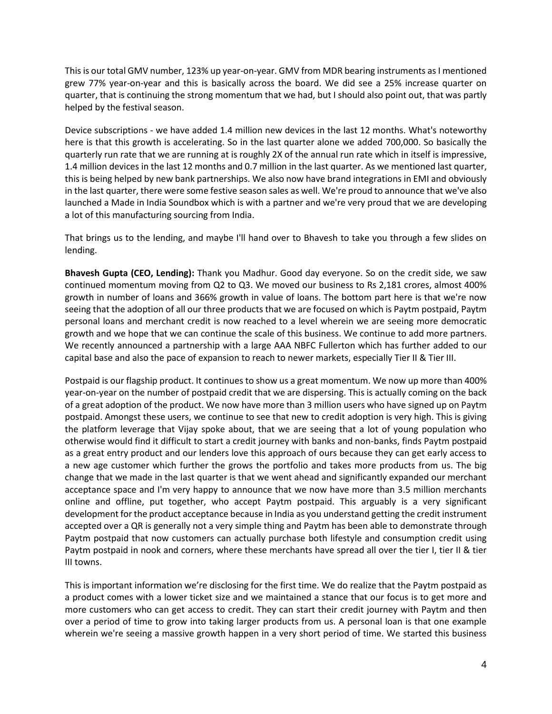This is our total GMV number, 123% up year-on-year. GMV from MDR bearing instruments as I mentioned grew 77% year-on-year and this is basically across the board. We did see a 25% increase quarter on quarter, that is continuing the strong momentum that we had, but I should also point out, that was partly helped by the festival season.

Device subscriptions - we have added 1.4 million new devices in the last 12 months. What's noteworthy here is that this growth is accelerating. So in the last quarter alone we added 700,000. So basically the quarterly run rate that we are running at is roughly 2X of the annual run rate which in itself is impressive, 1.4 million devices in the last 12 months and 0.7 million in the last quarter. As we mentioned last quarter, this is being helped by new bank partnerships. We also now have brand integrations in EMI and obviously in the last quarter, there were some festive season sales as well. We're proud to announce that we've also launched a Made in India Soundbox which is with a partner and we're very proud that we are developing a lot of this manufacturing sourcing from India.

That brings us to the lending, and maybe I'll hand over to Bhavesh to take you through a few slides on lending.

**Bhavesh Gupta (CEO, Lending):** Thank you Madhur. Good day everyone. So on the credit side, we saw continued momentum moving from Q2 to Q3. We moved our business to Rs 2,181 crores, almost 400% growth in number of loans and 366% growth in value of loans. The bottom part here is that we're now seeing that the adoption of all our three products that we are focused on which is Paytm postpaid, Paytm personal loans and merchant credit is now reached to a level wherein we are seeing more democratic growth and we hope that we can continue the scale of this business. We continue to add more partners. We recently announced a partnership with a large AAA NBFC Fullerton which has further added to our capital base and also the pace of expansion to reach to newer markets, especially Tier II & Tier III.

Postpaid is our flagship product. It continues to show us a great momentum. We now up more than 400% year-on-year on the number of postpaid credit that we are dispersing. This is actually coming on the back of a great adoption of the product. We now have more than 3 million users who have signed up on Paytm postpaid. Amongst these users, we continue to see that new to credit adoption is very high. This is giving the platform leverage that Vijay spoke about, that we are seeing that a lot of young population who otherwise would find it difficult to start a credit journey with banks and non-banks, finds Paytm postpaid as a great entry product and our lenders love this approach of ours because they can get early access to a new age customer which further the grows the portfolio and takes more products from us. The big change that we made in the last quarter is that we went ahead and significantly expanded our merchant acceptance space and I'm very happy to announce that we now have more than 3.5 million merchants online and offline, put together, who accept Paytm postpaid. This arguably is a very significant development for the product acceptance because in India as you understand getting the credit instrument accepted over a QR is generally not a very simple thing and Paytm has been able to demonstrate through Paytm postpaid that now customers can actually purchase both lifestyle and consumption credit using Paytm postpaid in nook and corners, where these merchants have spread all over the tier I, tier II & tier III towns.

This is important information we're disclosing for the first time. We do realize that the Paytm postpaid as a product comes with a lower ticket size and we maintained a stance that our focus is to get more and more customers who can get access to credit. They can start their credit journey with Paytm and then over a period of time to grow into taking larger products from us. A personal loan is that one example wherein we're seeing a massive growth happen in a very short period of time. We started this business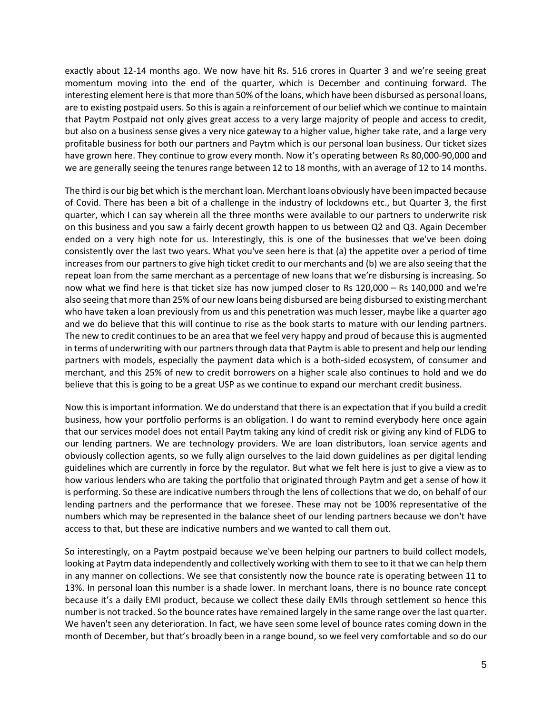exactly about 12-14 months ago. We now have hit Rs. 516 crores in Quarter 3 and we're seeing great momentum moving into the end of the quarter, which is December and continuing forward. The interesting element here is that more than 50% of the loans, which have been disbursed as personal loans, are to existing postpaid users. So this is again a reinforcement of our belief which we continue to maintain that Paytm Postpaid not only gives great access to a very large majority of people and access to credit, but also on a business sense gives a very nice gateway to a higher value, higher take rate, and a large very profitable business for both our partners and Paytm which is our personal loan business. Our ticket sizes have grown here. They continue to grow every month. Now it's operating between Rs 80,000-90,000 and we are generally seeing the tenures range between 12 to 18 months, with an average of 12 to 14 months.

The third is our big bet which is the merchant loan. Merchant loans obviously have been impacted because of Covid. There has been a bit of a challenge in the industry of lockdowns etc., but Quarter 3, the first quarter, which I can say wherein all the three months were available to our partners to underwrite risk on this business and you saw a fairly decent growth happen to us between Q2 and Q3. Again December ended on a very high note for us. Interestingly, this is one of the businesses that we've been doing consistently over the last two years. What you've seen here is that (a) the appetite over a period of time increases from our partners to give high ticket credit to our merchants and (b) we are also seeing that the repeat loan from the same merchant as a percentage of new loans that we're disbursing is increasing. So now what we find here is that ticket size has now jumped closer to Rs 120,000 – Rs 140,000 and we're also seeing that more than 25% of our new loans being disbursed are being disbursed to existing merchant who have taken a loan previously from us and this penetration was much lesser, maybe like a quarter ago and we do believe that this will continue to rise as the book starts to mature with our lending partners. The new to credit continues to be an area that we feel very happy and proud of because this is augmented in terms of underwriting with our partners through data that Paytm is able to present and help our lending partners with models, especially the payment data which is a both-sided ecosystem, of consumer and merchant, and this 25% of new to credit borrowers on a higher scale also continues to hold and we do believe that this is going to be a great USP as we continue to expand our merchant credit business.

Now this is important information. We do understand that there is an expectation that if you build a credit business, how your portfolio performs is an obligation. I do want to remind everybody here once again that our services model does not entail Paytm taking any kind of credit risk or giving any kind of FLDG to our lending partners. We are technology providers. We are loan distributors, loan service agents and obviously collection agents, so we fully align ourselves to the laid down guidelines as per digital lending guidelines which are currently in force by the regulator. But what we felt here is just to give a view as to how various lenders who are taking the portfolio that originated through Paytm and get a sense of how it is performing. So these are indicative numbers through the lens of collections that we do, on behalf of our lending partners and the performance that we foresee. These may not be 100% representative of the numbers which may be represented in the balance sheet of our lending partners because we don't have access to that, but these are indicative numbers and we wanted to call them out.

So interestingly, on a Paytm postpaid because we've been helping our partners to build collect models, looking at Paytm data independently and collectively working with them to see to it that we can help them in any manner on collections. We see that consistently now the bounce rate is operating between 11 to 13%. In personal loan this number is a shade lower. In merchant loans, there is no bounce rate concept because it's a daily EMI product, because we collect these daily EMIs through settlement so hence this number is not tracked. So the bounce rates have remained largely in the same range over the last quarter. We haven't seen any deterioration. In fact, we have seen some level of bounce rates coming down in the month of December, but that's broadly been in a range bound, so we feel very comfortable and so do our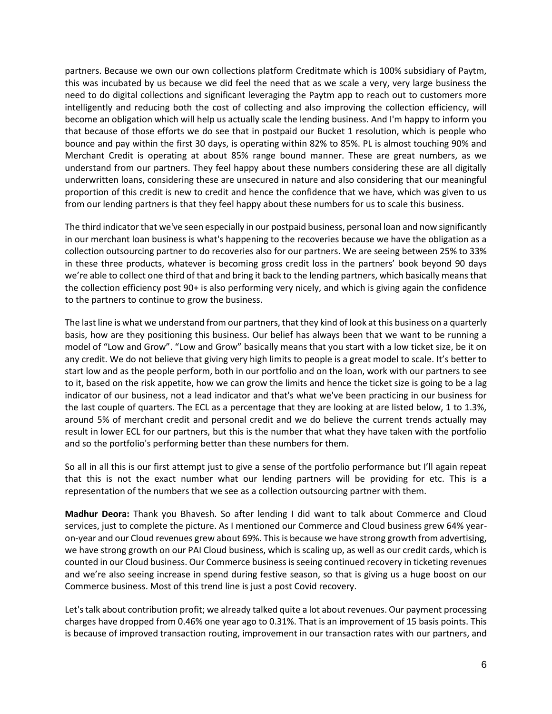partners. Because we own our own collections platform Creditmate which is 100% subsidiary of Paytm, this was incubated by us because we did feel the need that as we scale a very, very large business the need to do digital collections and significant leveraging the Paytm app to reach out to customers more intelligently and reducing both the cost of collecting and also improving the collection efficiency, will become an obligation which will help us actually scale the lending business. And I'm happy to inform you that because of those efforts we do see that in postpaid our Bucket 1 resolution, which is people who bounce and pay within the first 30 days, is operating within 82% to 85%. PL is almost touching 90% and Merchant Credit is operating at about 85% range bound manner. These are great numbers, as we understand from our partners. They feel happy about these numbers considering these are all digitally underwritten loans, considering these are unsecured in nature and also considering that our meaningful proportion of this credit is new to credit and hence the confidence that we have, which was given to us from our lending partners is that they feel happy about these numbers for us to scale this business.

The third indicator that we've seen especially in our postpaid business, personal loan and now significantly in our merchant loan business is what's happening to the recoveries because we have the obligation as a collection outsourcing partner to do recoveries also for our partners. We are seeing between 25% to 33% in these three products, whatever is becoming gross credit loss in the partners' book beyond 90 days we're able to collect one third of that and bring it back to the lending partners, which basically means that the collection efficiency post 90+ is also performing very nicely, and which is giving again the confidence to the partners to continue to grow the business.

The last line is what we understand from our partners, that they kind of look at this business on a quarterly basis, how are they positioning this business. Our belief has always been that we want to be running a model of "Low and Grow". "Low and Grow" basically means that you start with a low ticket size, be it on any credit. We do not believe that giving very high limits to people is a great model to scale. It's better to start low and as the people perform, both in our portfolio and on the loan, work with our partners to see to it, based on the risk appetite, how we can grow the limits and hence the ticket size is going to be a lag indicator of our business, not a lead indicator and that's what we've been practicing in our business for the last couple of quarters. The ECL as a percentage that they are looking at are listed below, 1 to 1.3%, around 5% of merchant credit and personal credit and we do believe the current trends actually may result in lower ECL for our partners, but this is the number that what they have taken with the portfolio and so the portfolio's performing better than these numbers for them.

So all in all this is our first attempt just to give a sense of the portfolio performance but I'll again repeat that this is not the exact number what our lending partners will be providing for etc. This is a representation of the numbers that we see as a collection outsourcing partner with them.

**Madhur Deora:** Thank you Bhavesh. So after lending I did want to talk about Commerce and Cloud services, just to complete the picture. As I mentioned our Commerce and Cloud business grew 64% yearon-year and our Cloud revenues grew about 69%. This is because we have strong growth from advertising, we have strong growth on our PAI Cloud business, which is scaling up, as well as our credit cards, which is counted in our Cloud business. Our Commerce business is seeing continued recovery in ticketing revenues and we're also seeing increase in spend during festive season, so that is giving us a huge boost on our Commerce business. Most of this trend line is just a post Covid recovery.

Let's talk about contribution profit; we already talked quite a lot about revenues. Our payment processing charges have dropped from 0.46% one year ago to 0.31%. That is an improvement of 15 basis points. This is because of improved transaction routing, improvement in our transaction rates with our partners, and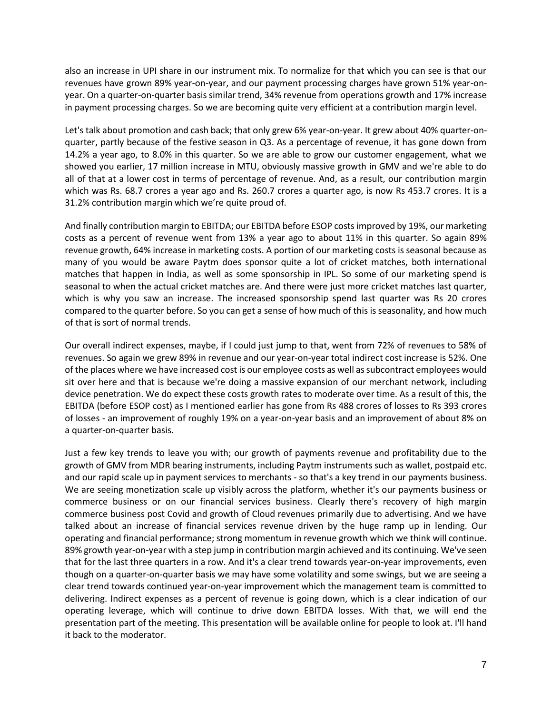also an increase in UPI share in our instrument mix. To normalize for that which you can see is that our revenues have grown 89% year-on-year, and our payment processing charges have grown 51% year-onyear. On a quarter-on-quarter basis similar trend, 34% revenue from operations growth and 17% increase in payment processing charges. So we are becoming quite very efficient at a contribution margin level.

Let's talk about promotion and cash back; that only grew 6% year-on-year. It grew about 40% quarter-onquarter, partly because of the festive season in Q3. As a percentage of revenue, it has gone down from 14.2% a year ago, to 8.0% in this quarter. So we are able to grow our customer engagement, what we showed you earlier, 17 million increase in MTU, obviously massive growth in GMV and we're able to do all of that at a lower cost in terms of percentage of revenue. And, as a result, our contribution margin which was Rs. 68.7 crores a year ago and Rs. 260.7 crores a quarter ago, is now Rs 453.7 crores. It is a 31.2% contribution margin which we're quite proud of.

And finally contribution margin to EBITDA; our EBITDA before ESOP costs improved by 19%, our marketing costs as a percent of revenue went from 13% a year ago to about 11% in this quarter. So again 89% revenue growth, 64% increase in marketing costs. A portion of our marketing costs is seasonal because as many of you would be aware Paytm does sponsor quite a lot of cricket matches, both international matches that happen in India, as well as some sponsorship in IPL. So some of our marketing spend is seasonal to when the actual cricket matches are. And there were just more cricket matches last quarter, which is why you saw an increase. The increased sponsorship spend last quarter was Rs 20 crores compared to the quarter before. So you can get a sense of how much of this is seasonality, and how much of that is sort of normal trends.

Our overall indirect expenses, maybe, if I could just jump to that, went from 72% of revenues to 58% of revenues. So again we grew 89% in revenue and our year-on-year total indirect cost increase is 52%. One of the places where we have increased cost is our employee costs as well as subcontract employees would sit over here and that is because we're doing a massive expansion of our merchant network, including device penetration. We do expect these costs growth rates to moderate over time. As a result of this, the EBITDA (before ESOP cost) as I mentioned earlier has gone from Rs 488 crores of losses to Rs 393 crores of losses - an improvement of roughly 19% on a year-on-year basis and an improvement of about 8% on a quarter-on-quarter basis.

Just a few key trends to leave you with; our growth of payments revenue and profitability due to the growth of GMV from MDR bearing instruments, including Paytm instruments such as wallet, postpaid etc. and our rapid scale up in payment services to merchants - so that's a key trend in our payments business. We are seeing monetization scale up visibly across the platform, whether it's our payments business or commerce business or on our financial services business. Clearly there's recovery of high margin commerce business post Covid and growth of Cloud revenues primarily due to advertising. And we have talked about an increase of financial services revenue driven by the huge ramp up in lending. Our operating and financial performance; strong momentum in revenue growth which we think will continue. 89% growth year-on-year with a step jump in contribution margin achieved and its continuing. We've seen that for the last three quarters in a row. And it's a clear trend towards year-on-year improvements, even though on a quarter-on-quarter basis we may have some volatility and some swings, but we are seeing a clear trend towards continued year-on-year improvement which the management team is committed to delivering. Indirect expenses as a percent of revenue is going down, which is a clear indication of our operating leverage, which will continue to drive down EBITDA losses. With that, we will end the presentation part of the meeting. This presentation will be available online for people to look at. I'll hand it back to the moderator.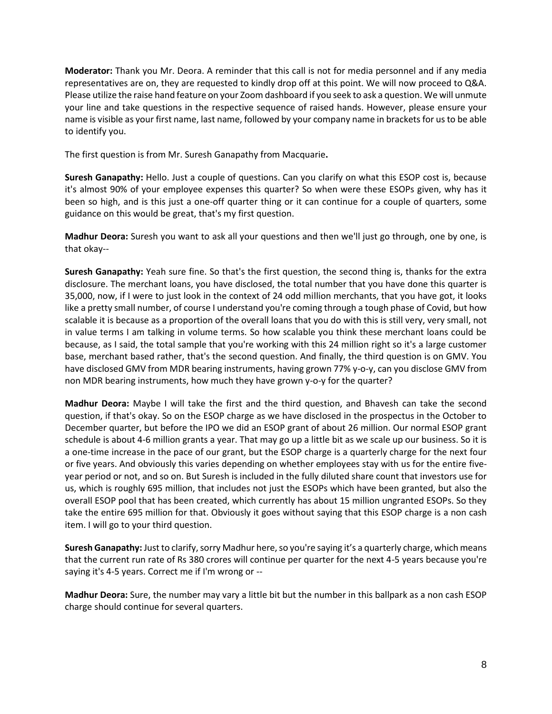**Moderator:** Thank you Mr. Deora. A reminder that this call is not for media personnel and if any media representatives are on, they are requested to kindly drop off at this point. We will now proceed to Q&A. Please utilize the raise hand feature on your Zoom dashboard if you seek to ask a question. We will unmute your line and take questions in the respective sequence of raised hands. However, please ensure your name is visible as your first name, last name, followed by your company name in brackets for us to be able to identify you.

The first question is from Mr. Suresh Ganapathy from Macquarie**.**

**Suresh Ganapathy:** Hello. Just a couple of questions. Can you clarify on what this ESOP cost is, because it's almost 90% of your employee expenses this quarter? So when were these ESOPs given, why has it been so high, and is this just a one-off quarter thing or it can continue for a couple of quarters, some guidance on this would be great, that's my first question.

**Madhur Deora:** Suresh you want to ask all your questions and then we'll just go through, one by one, is that okay--

**Suresh Ganapathy:** Yeah sure fine. So that's the first question, the second thing is, thanks for the extra disclosure. The merchant loans, you have disclosed, the total number that you have done this quarter is 35,000, now, if I were to just look in the context of 24 odd million merchants, that you have got, it looks like a pretty small number, of course I understand you're coming through a tough phase of Covid, but how scalable it is because as a proportion of the overall loans that you do with this is still very, very small, not in value terms I am talking in volume terms. So how scalable you think these merchant loans could be because, as I said, the total sample that you're working with this 24 million right so it's a large customer base, merchant based rather, that's the second question. And finally, the third question is on GMV. You have disclosed GMV from MDR bearing instruments, having grown 77% y-o-y, can you disclose GMV from non MDR bearing instruments, how much they have grown y-o-y for the quarter?

**Madhur Deora:** Maybe I will take the first and the third question, and Bhavesh can take the second question, if that's okay. So on the ESOP charge as we have disclosed in the prospectus in the October to December quarter, but before the IPO we did an ESOP grant of about 26 million. Our normal ESOP grant schedule is about 4-6 million grants a year. That may go up a little bit as we scale up our business. So it is a one-time increase in the pace of our grant, but the ESOP charge is a quarterly charge for the next four or five years. And obviously this varies depending on whether employees stay with us for the entire fiveyear period or not, and so on. But Suresh is included in the fully diluted share count that investors use for us, which is roughly 695 million, that includes not just the ESOPs which have been granted, but also the overall ESOP pool that has been created, which currently has about 15 million ungranted ESOPs. So they take the entire 695 million for that. Obviously it goes without saying that this ESOP charge is a non cash item. I will go to your third question.

**Suresh Ganapathy:** Just to clarify, sorry Madhur here, so you're saying it's a quarterly charge, which means that the current run rate of Rs 380 crores will continue per quarter for the next 4-5 years because you're saying it's 4-5 years. Correct me if I'm wrong or --

**Madhur Deora:** Sure, the number may vary a little bit but the number in this ballpark as a non cash ESOP charge should continue for several quarters.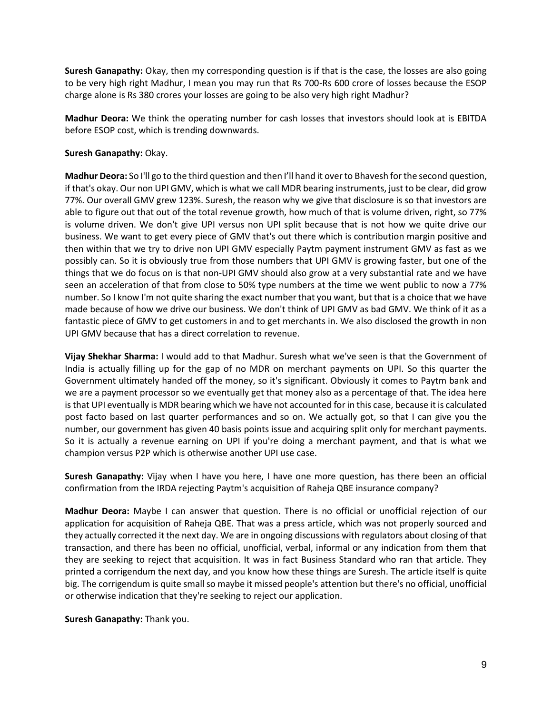**Suresh Ganapathy:** Okay, then my corresponding question is if that is the case, the losses are also going to be very high right Madhur, I mean you may run that Rs 700-Rs 600 crore of losses because the ESOP charge alone is Rs 380 crores your losses are going to be also very high right Madhur?

**Madhur Deora:** We think the operating number for cash losses that investors should look at is EBITDA before ESOP cost, which is trending downwards.

## **Suresh Ganapathy:** Okay.

**Madhur Deora:** So I'll go to the third question and then I'll hand it over to Bhavesh for the second question, if that's okay. Our non UPI GMV, which is what we call MDR bearing instruments, just to be clear, did grow 77%. Our overall GMV grew 123%. Suresh, the reason why we give that disclosure is so that investors are able to figure out that out of the total revenue growth, how much of that is volume driven, right, so 77% is volume driven. We don't give UPI versus non UPI split because that is not how we quite drive our business. We want to get every piece of GMV that's out there which is contribution margin positive and then within that we try to drive non UPI GMV especially Paytm payment instrument GMV as fast as we possibly can. So it is obviously true from those numbers that UPI GMV is growing faster, but one of the things that we do focus on is that non-UPI GMV should also grow at a very substantial rate and we have seen an acceleration of that from close to 50% type numbers at the time we went public to now a 77% number. So I know I'm not quite sharing the exact number that you want, but that is a choice that we have made because of how we drive our business. We don't think of UPI GMV as bad GMV. We think of it as a fantastic piece of GMV to get customers in and to get merchants in. We also disclosed the growth in non UPI GMV because that has a direct correlation to revenue.

**Vijay Shekhar Sharma:** I would add to that Madhur. Suresh what we've seen is that the Government of India is actually filling up for the gap of no MDR on merchant payments on UPI. So this quarter the Government ultimately handed off the money, so it's significant. Obviously it comes to Paytm bank and we are a payment processor so we eventually get that money also as a percentage of that. The idea here is that UPI eventually is MDR bearing which we have not accounted for in this case, because it is calculated post facto based on last quarter performances and so on. We actually got, so that I can give you the number, our government has given 40 basis points issue and acquiring split only for merchant payments. So it is actually a revenue earning on UPI if you're doing a merchant payment, and that is what we champion versus P2P which is otherwise another UPI use case.

**Suresh Ganapathy:** Vijay when I have you here, I have one more question, has there been an official confirmation from the IRDA rejecting Paytm's acquisition of Raheja QBE insurance company?

**Madhur Deora:** Maybe I can answer that question. There is no official or unofficial rejection of our application for acquisition of Raheja QBE. That was a press article, which was not properly sourced and they actually corrected it the next day. We are in ongoing discussions with regulators about closing of that transaction, and there has been no official, unofficial, verbal, informal or any indication from them that they are seeking to reject that acquisition. It was in fact Business Standard who ran that article. They printed a corrigendum the next day, and you know how these things are Suresh. The article itself is quite big. The corrigendum is quite small so maybe it missed people's attention but there's no official, unofficial or otherwise indication that they're seeking to reject our application.

**Suresh Ganapathy:** Thank you.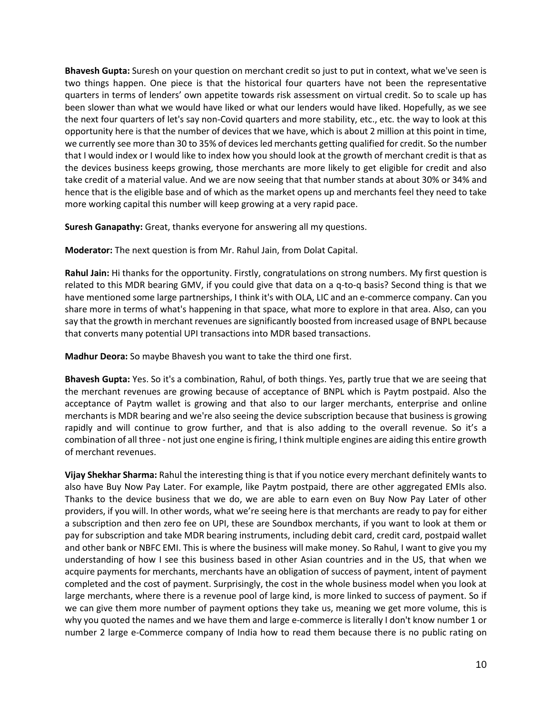**Bhavesh Gupta:** Suresh on your question on merchant credit so just to put in context, what we've seen is two things happen. One piece is that the historical four quarters have not been the representative quarters in terms of lenders' own appetite towards risk assessment on virtual credit. So to scale up has been slower than what we would have liked or what our lenders would have liked. Hopefully, as we see the next four quarters of let's say non-Covid quarters and more stability, etc., etc. the way to look at this opportunity here is that the number of devices that we have, which is about 2 million at this point in time, we currently see more than 30 to 35% of devices led merchants getting qualified for credit. So the number that I would index or I would like to index how you should look at the growth of merchant credit is that as the devices business keeps growing, those merchants are more likely to get eligible for credit and also take credit of a material value. And we are now seeing that that number stands at about 30% or 34% and hence that is the eligible base and of which as the market opens up and merchants feel they need to take more working capital this number will keep growing at a very rapid pace.

**Suresh Ganapathy:** Great, thanks everyone for answering all my questions.

**Moderator:** The next question is from Mr. Rahul Jain, from Dolat Capital.

**Rahul Jain:** Hi thanks for the opportunity. Firstly, congratulations on strong numbers. My first question is related to this MDR bearing GMV, if you could give that data on a q-to-q basis? Second thing is that we have mentioned some large partnerships, I think it's with OLA, LIC and an e-commerce company. Can you share more in terms of what's happening in that space, what more to explore in that area. Also, can you say that the growth in merchant revenues are significantly boosted from increased usage of BNPL because that converts many potential UPI transactions into MDR based transactions.

**Madhur Deora:** So maybe Bhavesh you want to take the third one first.

**Bhavesh Gupta:** Yes. So it's a combination, Rahul, of both things. Yes, partly true that we are seeing that the merchant revenues are growing because of acceptance of BNPL which is Paytm postpaid. Also the acceptance of Paytm wallet is growing and that also to our larger merchants, enterprise and online merchants is MDR bearing and we're also seeing the device subscription because that business is growing rapidly and will continue to grow further, and that is also adding to the overall revenue. So it's a combination of all three - not just one engine is firing, I think multiple engines are aiding this entire growth of merchant revenues.

**Vijay Shekhar Sharma:** Rahul the interesting thing is that if you notice every merchant definitely wants to also have Buy Now Pay Later. For example, like Paytm postpaid, there are other aggregated EMIs also. Thanks to the device business that we do, we are able to earn even on Buy Now Pay Later of other providers, if you will. In other words, what we're seeing here is that merchants are ready to pay for either a subscription and then zero fee on UPI, these are Soundbox merchants, if you want to look at them or pay for subscription and take MDR bearing instruments, including debit card, credit card, postpaid wallet and other bank or NBFC EMI. This is where the business will make money. So Rahul, I want to give you my understanding of how I see this business based in other Asian countries and in the US, that when we acquire payments for merchants, merchants have an obligation of success of payment, intent of payment completed and the cost of payment. Surprisingly, the cost in the whole business model when you look at large merchants, where there is a revenue pool of large kind, is more linked to success of payment. So if we can give them more number of payment options they take us, meaning we get more volume, this is why you quoted the names and we have them and large e-commerce is literally I don't know number 1 or number 2 large e-Commerce company of India how to read them because there is no public rating on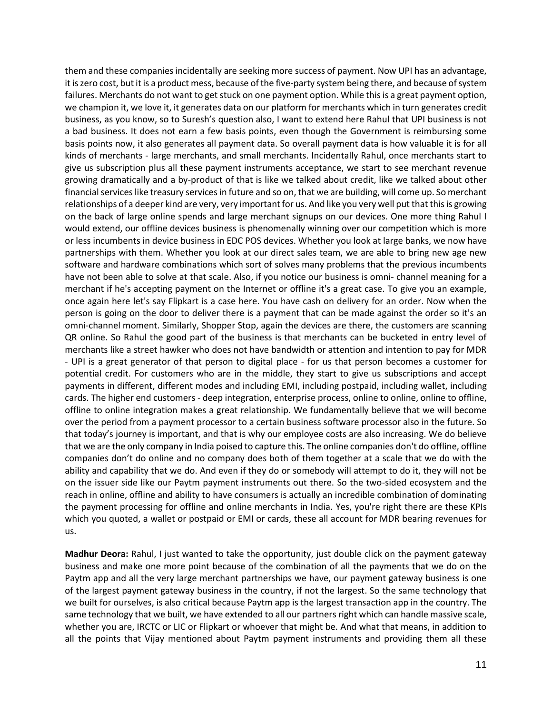them and these companies incidentally are seeking more success of payment. Now UPI has an advantage, it is zero cost, but it is a product mess, because of the five-party system being there, and because of system failures. Merchants do not want to get stuck on one payment option. While this is a great payment option, we champion it, we love it, it generates data on our platform for merchants which in turn generates credit business, as you know, so to Suresh's question also, I want to extend here Rahul that UPI business is not a bad business. It does not earn a few basis points, even though the Government is reimbursing some basis points now, it also generates all payment data. So overall payment data is how valuable it is for all kinds of merchants - large merchants, and small merchants. Incidentally Rahul, once merchants start to give us subscription plus all these payment instruments acceptance, we start to see merchant revenue growing dramatically and a by-product of that is like we talked about credit, like we talked about other financial services like treasury services in future and so on, that we are building, will come up. So merchant relationships of a deeper kind are very, very important for us. And like you very well put that this is growing on the back of large online spends and large merchant signups on our devices. One more thing Rahul I would extend, our offline devices business is phenomenally winning over our competition which is more or less incumbents in device business in EDC POS devices. Whether you look at large banks, we now have partnerships with them. Whether you look at our direct sales team, we are able to bring new age new software and hardware combinations which sort of solves many problems that the previous incumbents have not been able to solve at that scale. Also, if you notice our business is omni- channel meaning for a merchant if he's accepting payment on the Internet or offline it's a great case. To give you an example, once again here let's say Flipkart is a case here. You have cash on delivery for an order. Now when the person is going on the door to deliver there is a payment that can be made against the order so it's an omni-channel moment. Similarly, Shopper Stop, again the devices are there, the customers are scanning QR online. So Rahul the good part of the business is that merchants can be bucketed in entry level of merchants like a street hawker who does not have bandwidth or attention and intention to pay for MDR - UPI is a great generator of that person to digital place - for us that person becomes a customer for potential credit. For customers who are in the middle, they start to give us subscriptions and accept payments in different, different modes and including EMI, including postpaid, including wallet, including cards. The higher end customers - deep integration, enterprise process, online to online, online to offline, offline to online integration makes a great relationship. We fundamentally believe that we will become over the period from a payment processor to a certain business software processor also in the future. So that today's journey is important, and that is why our employee costs are also increasing. We do believe that we are the only company in India poised to capture this. The online companies don't do offline, offline companies don't do online and no company does both of them together at a scale that we do with the ability and capability that we do. And even if they do or somebody will attempt to do it, they will not be on the issuer side like our Paytm payment instruments out there. So the two-sided ecosystem and the reach in online, offline and ability to have consumers is actually an incredible combination of dominating the payment processing for offline and online merchants in India. Yes, you're right there are these KPIs which you quoted, a wallet or postpaid or EMI or cards, these all account for MDR bearing revenues for us.

**Madhur Deora:** Rahul, I just wanted to take the opportunity, just double click on the payment gateway business and make one more point because of the combination of all the payments that we do on the Paytm app and all the very large merchant partnerships we have, our payment gateway business is one of the largest payment gateway business in the country, if not the largest. So the same technology that we built for ourselves, is also critical because Paytm app is the largest transaction app in the country. The same technology that we built, we have extended to all our partners right which can handle massive scale, whether you are, IRCTC or LIC or Flipkart or whoever that might be. And what that means, in addition to all the points that Vijay mentioned about Paytm payment instruments and providing them all these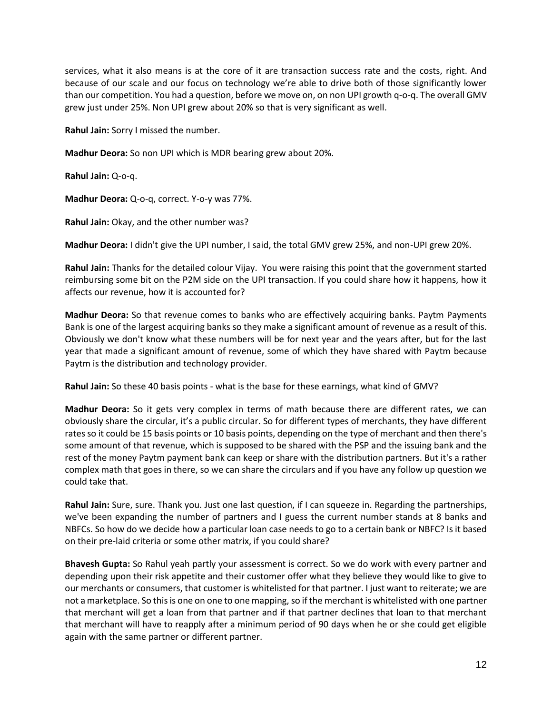services, what it also means is at the core of it are transaction success rate and the costs, right. And because of our scale and our focus on technology we're able to drive both of those significantly lower than our competition. You had a question, before we move on, on non UPI growth q-o-q. The overall GMV grew just under 25%. Non UPI grew about 20% so that is very significant as well.

**Rahul Jain:** Sorry I missed the number.

**Madhur Deora:** So non UPI which is MDR bearing grew about 20%.

**Rahul Jain:** Q-o-q.

**Madhur Deora:** Q-o-q, correct. Y-o-y was 77%.

**Rahul Jain:** Okay, and the other number was?

**Madhur Deora:** I didn't give the UPI number, I said, the total GMV grew 25%, and non-UPI grew 20%.

**Rahul Jain:** Thanks for the detailed colour Vijay. You were raising this point that the government started reimbursing some bit on the P2M side on the UPI transaction. If you could share how it happens, how it affects our revenue, how it is accounted for?

**Madhur Deora:** So that revenue comes to banks who are effectively acquiring banks. Paytm Payments Bank is one of the largest acquiring banks so they make a significant amount of revenue as a result of this. Obviously we don't know what these numbers will be for next year and the years after, but for the last year that made a significant amount of revenue, some of which they have shared with Paytm because Paytm is the distribution and technology provider.

**Rahul Jain:** So these 40 basis points - what is the base for these earnings, what kind of GMV?

**Madhur Deora:** So it gets very complex in terms of math because there are different rates, we can obviously share the circular, it's a public circular. So for different types of merchants, they have different rates so it could be 15 basis points or 10 basis points, depending on the type of merchant and then there's some amount of that revenue, which is supposed to be shared with the PSP and the issuing bank and the rest of the money Paytm payment bank can keep or share with the distribution partners. But it's a rather complex math that goes in there, so we can share the circulars and if you have any follow up question we could take that.

**Rahul Jain:** Sure, sure. Thank you. Just one last question, if I can squeeze in. Regarding the partnerships, we've been expanding the number of partners and I guess the current number stands at 8 banks and NBFCs. So how do we decide how a particular loan case needs to go to a certain bank or NBFC? Is it based on their pre-laid criteria or some other matrix, if you could share?

**Bhavesh Gupta:** So Rahul yeah partly your assessment is correct. So we do work with every partner and depending upon their risk appetite and their customer offer what they believe they would like to give to our merchants or consumers, that customer is whitelisted for that partner. I just want to reiterate; we are not a marketplace. So this is one on one to one mapping, so if the merchant is whitelisted with one partner that merchant will get a loan from that partner and if that partner declines that loan to that merchant that merchant will have to reapply after a minimum period of 90 days when he or she could get eligible again with the same partner or different partner.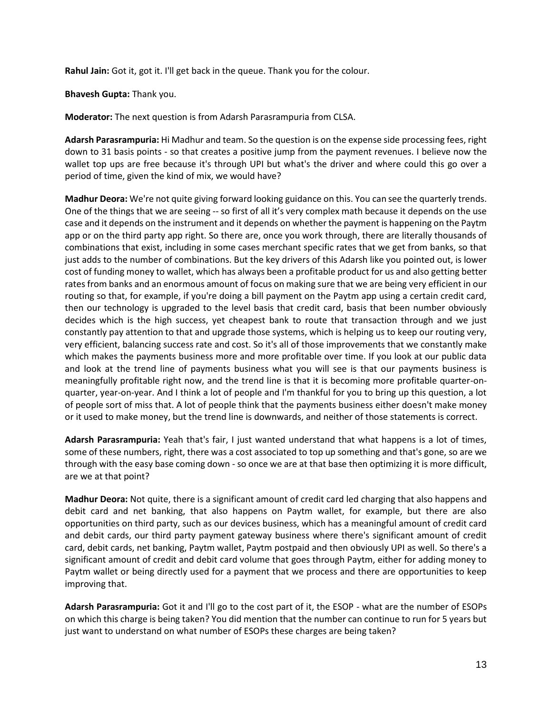**Rahul Jain:** Got it, got it. I'll get back in the queue. Thank you for the colour.

**Bhavesh Gupta:** Thank you.

**Moderator:** The next question is from Adarsh Parasrampuria from CLSA.

**Adarsh Parasrampuria:** Hi Madhur and team. So the question is on the expense side processing fees, right down to 31 basis points - so that creates a positive jump from the payment revenues. I believe now the wallet top ups are free because it's through UPI but what's the driver and where could this go over a period of time, given the kind of mix, we would have?

**Madhur Deora:** We're not quite giving forward looking guidance on this. You can see the quarterly trends. One of the things that we are seeing -- so first of all it's very complex math because it depends on the use case and it depends on the instrument and it depends on whether the payment is happening on the Paytm app or on the third party app right. So there are, once you work through, there are literally thousands of combinations that exist, including in some cases merchant specific rates that we get from banks, so that just adds to the number of combinations. But the key drivers of this Adarsh like you pointed out, is lower cost of funding money to wallet, which has always been a profitable product for us and also getting better rates from banks and an enormous amount of focus on making sure that we are being very efficient in our routing so that, for example, if you're doing a bill payment on the Paytm app using a certain credit card, then our technology is upgraded to the level basis that credit card, basis that been number obviously decides which is the high success, yet cheapest bank to route that transaction through and we just constantly pay attention to that and upgrade those systems, which is helping us to keep our routing very, very efficient, balancing success rate and cost. So it's all of those improvements that we constantly make which makes the payments business more and more profitable over time. If you look at our public data and look at the trend line of payments business what you will see is that our payments business is meaningfully profitable right now, and the trend line is that it is becoming more profitable quarter-onquarter, year-on-year. And I think a lot of people and I'm thankful for you to bring up this question, a lot of people sort of miss that. A lot of people think that the payments business either doesn't make money or it used to make money, but the trend line is downwards, and neither of those statements is correct.

**Adarsh Parasrampuria:** Yeah that's fair, I just wanted understand that what happens is a lot of times, some of these numbers, right, there was a cost associated to top up something and that's gone, so are we through with the easy base coming down - so once we are at that base then optimizing it is more difficult, are we at that point?

**Madhur Deora:** Not quite, there is a significant amount of credit card led charging that also happens and debit card and net banking, that also happens on Paytm wallet, for example, but there are also opportunities on third party, such as our devices business, which has a meaningful amount of credit card and debit cards, our third party payment gateway business where there's significant amount of credit card, debit cards, net banking, Paytm wallet, Paytm postpaid and then obviously UPI as well. So there's a significant amount of credit and debit card volume that goes through Paytm, either for adding money to Paytm wallet or being directly used for a payment that we process and there are opportunities to keep improving that.

**Adarsh Parasrampuria:** Got it and I'll go to the cost part of it, the ESOP - what are the number of ESOPs on which this charge is being taken? You did mention that the number can continue to run for 5 years but just want to understand on what number of ESOPs these charges are being taken?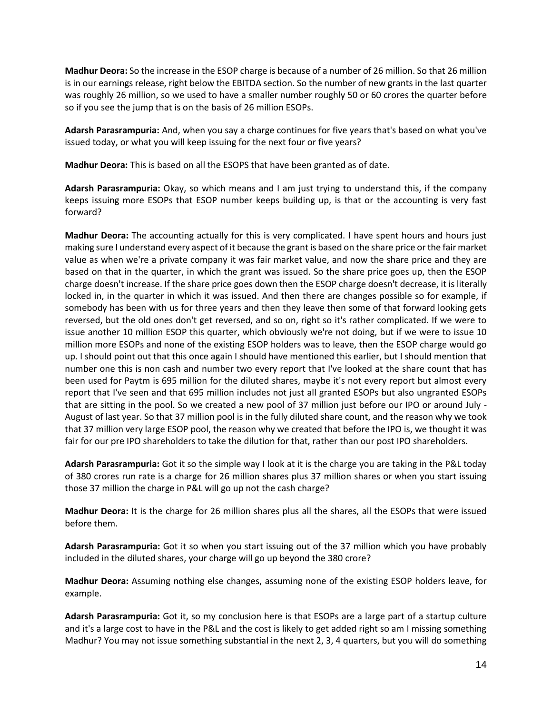**Madhur Deora:** So the increase in the ESOP charge is because of a number of 26 million. So that 26 million is in our earnings release, right below the EBITDA section. So the number of new grants in the last quarter was roughly 26 million, so we used to have a smaller number roughly 50 or 60 crores the quarter before so if you see the jump that is on the basis of 26 million ESOPs.

**Adarsh Parasrampuria:** And, when you say a charge continues for five years that's based on what you've issued today, or what you will keep issuing for the next four or five years?

**Madhur Deora:** This is based on all the ESOPS that have been granted as of date.

**Adarsh Parasrampuria:** Okay, so which means and I am just trying to understand this, if the company keeps issuing more ESOPs that ESOP number keeps building up, is that or the accounting is very fast forward?

**Madhur Deora:** The accounting actually for this is very complicated. I have spent hours and hours just making sure I understand every aspect of it because the grant is based on the share price or the fair market value as when we're a private company it was fair market value, and now the share price and they are based on that in the quarter, in which the grant was issued. So the share price goes up, then the ESOP charge doesn't increase. If the share price goes down then the ESOP charge doesn't decrease, it is literally locked in, in the quarter in which it was issued. And then there are changes possible so for example, if somebody has been with us for three years and then they leave then some of that forward looking gets reversed, but the old ones don't get reversed, and so on, right so it's rather complicated. If we were to issue another 10 million ESOP this quarter, which obviously we're not doing, but if we were to issue 10 million more ESOPs and none of the existing ESOP holders was to leave, then the ESOP charge would go up. I should point out that this once again I should have mentioned this earlier, but I should mention that number one this is non cash and number two every report that I've looked at the share count that has been used for Paytm is 695 million for the diluted shares, maybe it's not every report but almost every report that I've seen and that 695 million includes not just all granted ESOPs but also ungranted ESOPs that are sitting in the pool. So we created a new pool of 37 million just before our IPO or around July - August of last year. So that 37 million pool is in the fully diluted share count, and the reason why we took that 37 million very large ESOP pool, the reason why we created that before the IPO is, we thought it was fair for our pre IPO shareholders to take the dilution for that, rather than our post IPO shareholders.

**Adarsh Parasrampuria:** Got it so the simple way I look at it is the charge you are taking in the P&L today of 380 crores run rate is a charge for 26 million shares plus 37 million shares or when you start issuing those 37 million the charge in P&L will go up not the cash charge?

**Madhur Deora:** It is the charge for 26 million shares plus all the shares, all the ESOPs that were issued before them.

**Adarsh Parasrampuria:** Got it so when you start issuing out of the 37 million which you have probably included in the diluted shares, your charge will go up beyond the 380 crore?

**Madhur Deora:** Assuming nothing else changes, assuming none of the existing ESOP holders leave, for example.

**Adarsh Parasrampuria:** Got it, so my conclusion here is that ESOPs are a large part of a startup culture and it's a large cost to have in the P&L and the cost is likely to get added right so am I missing something Madhur? You may not issue something substantial in the next 2, 3, 4 quarters, but you will do something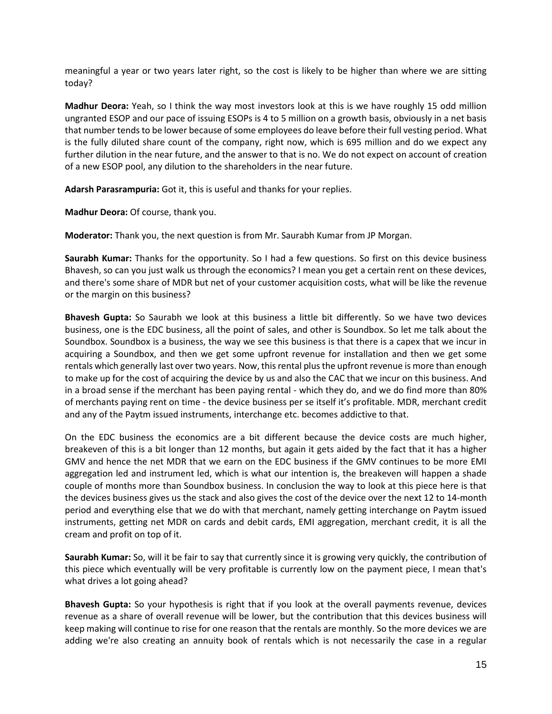meaningful a year or two years later right, so the cost is likely to be higher than where we are sitting today?

**Madhur Deora:** Yeah, so I think the way most investors look at this is we have roughly 15 odd million ungranted ESOP and our pace of issuing ESOPs is 4 to 5 million on a growth basis, obviously in a net basis that number tends to be lower because of some employees do leave before their full vesting period. What is the fully diluted share count of the company, right now, which is 695 million and do we expect any further dilution in the near future, and the answer to that is no. We do not expect on account of creation of a new ESOP pool, any dilution to the shareholders in the near future.

**Adarsh Parasrampuria:** Got it, this is useful and thanks for your replies.

**Madhur Deora:** Of course, thank you.

**Moderator:** Thank you, the next question is from Mr. Saurabh Kumar from JP Morgan.

**Saurabh Kumar:** Thanks for the opportunity. So I had a few questions. So first on this device business Bhavesh, so can you just walk us through the economics? I mean you get a certain rent on these devices, and there's some share of MDR but net of your customer acquisition costs, what will be like the revenue or the margin on this business?

**Bhavesh Gupta:** So Saurabh we look at this business a little bit differently. So we have two devices business, one is the EDC business, all the point of sales, and other is Soundbox. So let me talk about the Soundbox. Soundbox is a business, the way we see this business is that there is a capex that we incur in acquiring a Soundbox, and then we get some upfront revenue for installation and then we get some rentals which generally last over two years. Now, this rental plus the upfront revenue is more than enough to make up for the cost of acquiring the device by us and also the CAC that we incur on this business. And in a broad sense if the merchant has been paying rental - which they do, and we do find more than 80% of merchants paying rent on time - the device business per se itself it's profitable. MDR, merchant credit and any of the Paytm issued instruments, interchange etc. becomes addictive to that.

On the EDC business the economics are a bit different because the device costs are much higher, breakeven of this is a bit longer than 12 months, but again it gets aided by the fact that it has a higher GMV and hence the net MDR that we earn on the EDC business if the GMV continues to be more EMI aggregation led and instrument led, which is what our intention is, the breakeven will happen a shade couple of months more than Soundbox business. In conclusion the way to look at this piece here is that the devices business gives us the stack and also gives the cost of the device over the next 12 to 14-month period and everything else that we do with that merchant, namely getting interchange on Paytm issued instruments, getting net MDR on cards and debit cards, EMI aggregation, merchant credit, it is all the cream and profit on top of it.

**Saurabh Kumar:** So, will it be fair to say that currently since it is growing very quickly, the contribution of this piece which eventually will be very profitable is currently low on the payment piece, I mean that's what drives a lot going ahead?

**Bhavesh Gupta:** So your hypothesis is right that if you look at the overall payments revenue, devices revenue as a share of overall revenue will be lower, but the contribution that this devices business will keep making will continue to rise for one reason that the rentals are monthly. So the more devices we are adding we're also creating an annuity book of rentals which is not necessarily the case in a regular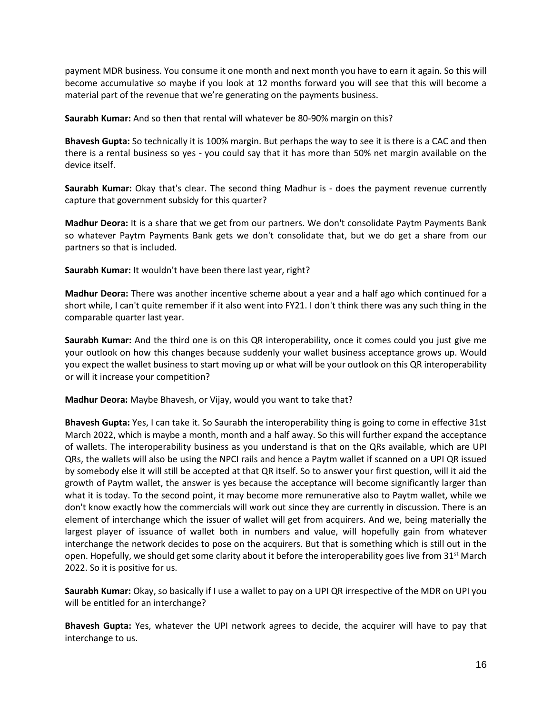payment MDR business. You consume it one month and next month you have to earn it again. So this will become accumulative so maybe if you look at 12 months forward you will see that this will become a material part of the revenue that we're generating on the payments business.

**Saurabh Kumar:** And so then that rental will whatever be 80-90% margin on this?

**Bhavesh Gupta:** So technically it is 100% margin. But perhaps the way to see it is there is a CAC and then there is a rental business so yes - you could say that it has more than 50% net margin available on the device itself.

**Saurabh Kumar:** Okay that's clear. The second thing Madhur is - does the payment revenue currently capture that government subsidy for this quarter?

**Madhur Deora:** It is a share that we get from our partners. We don't consolidate Paytm Payments Bank so whatever Paytm Payments Bank gets we don't consolidate that, but we do get a share from our partners so that is included.

**Saurabh Kumar:** It wouldn't have been there last year, right?

**Madhur Deora:** There was another incentive scheme about a year and a half ago which continued for a short while, I can't quite remember if it also went into FY21. I don't think there was any such thing in the comparable quarter last year.

**Saurabh Kumar:** And the third one is on this QR interoperability, once it comes could you just give me your outlook on how this changes because suddenly your wallet business acceptance grows up. Would you expect the wallet business to start moving up or what will be your outlook on this QR interoperability or will it increase your competition?

**Madhur Deora:** Maybe Bhavesh, or Vijay, would you want to take that?

**Bhavesh Gupta:** Yes, I can take it. So Saurabh the interoperability thing is going to come in effective 31st March 2022, which is maybe a month, month and a half away. So this will further expand the acceptance of wallets. The interoperability business as you understand is that on the QRs available, which are UPI QRs, the wallets will also be using the NPCI rails and hence a Paytm wallet if scanned on a UPI QR issued by somebody else it will still be accepted at that QR itself. So to answer your first question, will it aid the growth of Paytm wallet, the answer is yes because the acceptance will become significantly larger than what it is today. To the second point, it may become more remunerative also to Paytm wallet, while we don't know exactly how the commercials will work out since they are currently in discussion. There is an element of interchange which the issuer of wallet will get from acquirers. And we, being materially the largest player of issuance of wallet both in numbers and value, will hopefully gain from whatever interchange the network decides to pose on the acquirers. But that is something which is still out in the open. Hopefully, we should get some clarity about it before the interoperability goes live from  $31<sup>st</sup>$  March 2022. So it is positive for us.

**Saurabh Kumar:** Okay, so basically if I use a wallet to pay on a UPI QR irrespective of the MDR on UPI you will be entitled for an interchange?

**Bhavesh Gupta:** Yes, whatever the UPI network agrees to decide, the acquirer will have to pay that interchange to us.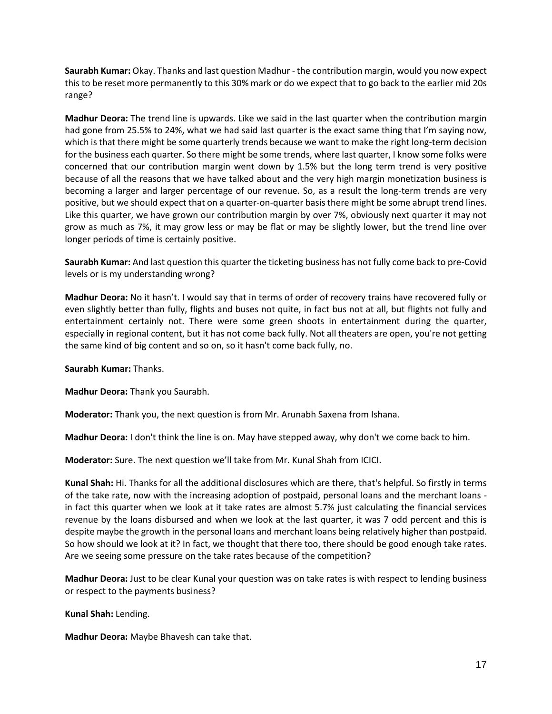**Saurabh Kumar:** Okay. Thanks and last question Madhur - the contribution margin, would you now expect this to be reset more permanently to this 30% mark or do we expect that to go back to the earlier mid 20s range?

**Madhur Deora:** The trend line is upwards. Like we said in the last quarter when the contribution margin had gone from 25.5% to 24%, what we had said last quarter is the exact same thing that I'm saying now, which is that there might be some quarterly trends because we want to make the right long-term decision for the business each quarter. So there might be some trends, where last quarter, I know some folks were concerned that our contribution margin went down by 1.5% but the long term trend is very positive because of all the reasons that we have talked about and the very high margin monetization business is becoming a larger and larger percentage of our revenue. So, as a result the long-term trends are very positive, but we should expect that on a quarter-on-quarter basis there might be some abrupt trend lines. Like this quarter, we have grown our contribution margin by over 7%, obviously next quarter it may not grow as much as 7%, it may grow less or may be flat or may be slightly lower, but the trend line over longer periods of time is certainly positive.

**Saurabh Kumar:** And last question this quarter the ticketing business has not fully come back to pre-Covid levels or is my understanding wrong?

**Madhur Deora:** No it hasn't. I would say that in terms of order of recovery trains have recovered fully or even slightly better than fully, flights and buses not quite, in fact bus not at all, but flights not fully and entertainment certainly not. There were some green shoots in entertainment during the quarter, especially in regional content, but it has not come back fully. Not all theaters are open, you're not getting the same kind of big content and so on, so it hasn't come back fully, no.

**Saurabh Kumar:** Thanks.

**Madhur Deora:** Thank you Saurabh.

**Moderator:** Thank you, the next question is from Mr. Arunabh Saxena from Ishana.

**Madhur Deora:** I don't think the line is on. May have stepped away, why don't we come back to him.

**Moderator:** Sure. The next question we'll take from Mr. Kunal Shah from ICICI.

**Kunal Shah:** Hi. Thanks for all the additional disclosures which are there, that's helpful. So firstly in terms of the take rate, now with the increasing adoption of postpaid, personal loans and the merchant loans in fact this quarter when we look at it take rates are almost 5.7% just calculating the financial services revenue by the loans disbursed and when we look at the last quarter, it was 7 odd percent and this is despite maybe the growth in the personal loans and merchant loans being relatively higher than postpaid. So how should we look at it? In fact, we thought that there too, there should be good enough take rates. Are we seeing some pressure on the take rates because of the competition?

**Madhur Deora:** Just to be clear Kunal your question was on take rates is with respect to lending business or respect to the payments business?

**Kunal Shah:** Lending.

**Madhur Deora:** Maybe Bhavesh can take that.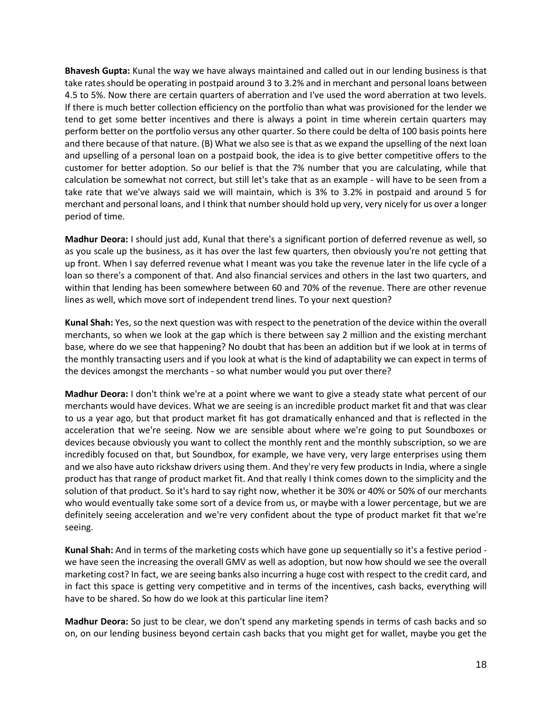**Bhavesh Gupta:** Kunal the way we have always maintained and called out in our lending business is that take rates should be operating in postpaid around 3 to 3.2% and in merchant and personal loans between 4.5 to 5%. Now there are certain quarters of aberration and I've used the word aberration at two levels. If there is much better collection efficiency on the portfolio than what was provisioned for the lender we tend to get some better incentives and there is always a point in time wherein certain quarters may perform better on the portfolio versus any other quarter. So there could be delta of 100 basis points here and there because of that nature. (B) What we also see is that as we expand the upselling of the next loan and upselling of a personal loan on a postpaid book, the idea is to give better competitive offers to the customer for better adoption. So our belief is that the 7% number that you are calculating, while that calculation be somewhat not correct, but still let's take that as an example - will have to be seen from a take rate that we've always said we will maintain, which is 3% to 3.2% in postpaid and around 5 for merchant and personal loans, and I think that number should hold up very, very nicely for us over a longer period of time.

**Madhur Deora:** I should just add, Kunal that there's a significant portion of deferred revenue as well, so as you scale up the business, as it has over the last few quarters, then obviously you're not getting that up front. When I say deferred revenue what I meant was you take the revenue later in the life cycle of a loan so there's a component of that. And also financial services and others in the last two quarters, and within that lending has been somewhere between 60 and 70% of the revenue. There are other revenue lines as well, which move sort of independent trend lines. To your next question?

**Kunal Shah:** Yes, so the next question was with respect to the penetration of the device within the overall merchants, so when we look at the gap which is there between say 2 million and the existing merchant base, where do we see that happening? No doubt that has been an addition but if we look at in terms of the monthly transacting users and if you look at what is the kind of adaptability we can expect in terms of the devices amongst the merchants - so what number would you put over there?

**Madhur Deora:** I don't think we're at a point where we want to give a steady state what percent of our merchants would have devices. What we are seeing is an incredible product market fit and that was clear to us a year ago, but that product market fit has got dramatically enhanced and that is reflected in the acceleration that we're seeing. Now we are sensible about where we're going to put Soundboxes or devices because obviously you want to collect the monthly rent and the monthly subscription, so we are incredibly focused on that, but Soundbox, for example, we have very, very large enterprises using them and we also have auto rickshaw drivers using them. And they're very few products in India, where a single product has that range of product market fit. And that really I think comes down to the simplicity and the solution of that product. So it's hard to say right now, whether it be 30% or 40% or 50% of our merchants who would eventually take some sort of a device from us, or maybe with a lower percentage, but we are definitely seeing acceleration and we're very confident about the type of product market fit that we're seeing.

**Kunal Shah:** And in terms of the marketing costs which have gone up sequentially so it's a festive period we have seen the increasing the overall GMV as well as adoption, but now how should we see the overall marketing cost? In fact, we are seeing banks also incurring a huge cost with respect to the credit card, and in fact this space is getting very competitive and in terms of the incentives, cash backs, everything will have to be shared. So how do we look at this particular line item?

**Madhur Deora:** So just to be clear, we don't spend any marketing spends in terms of cash backs and so on, on our lending business beyond certain cash backs that you might get for wallet, maybe you get the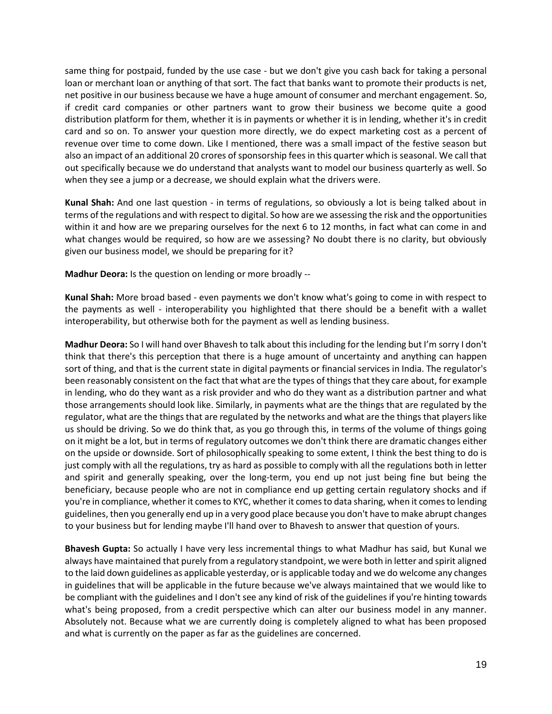same thing for postpaid, funded by the use case - but we don't give you cash back for taking a personal loan or merchant loan or anything of that sort. The fact that banks want to promote their products is net, net positive in our business because we have a huge amount of consumer and merchant engagement. So, if credit card companies or other partners want to grow their business we become quite a good distribution platform for them, whether it is in payments or whether it is in lending, whether it's in credit card and so on. To answer your question more directly, we do expect marketing cost as a percent of revenue over time to come down. Like I mentioned, there was a small impact of the festive season but also an impact of an additional 20 crores of sponsorship fees in this quarter which is seasonal. We call that out specifically because we do understand that analysts want to model our business quarterly as well. So when they see a jump or a decrease, we should explain what the drivers were.

**Kunal Shah:** And one last question - in terms of regulations, so obviously a lot is being talked about in terms of the regulations and with respect to digital. So how are we assessing the risk and the opportunities within it and how are we preparing ourselves for the next 6 to 12 months, in fact what can come in and what changes would be required, so how are we assessing? No doubt there is no clarity, but obviously given our business model, we should be preparing for it?

**Madhur Deora:** Is the question on lending or more broadly --

**Kunal Shah:** More broad based - even payments we don't know what's going to come in with respect to the payments as well - interoperability you highlighted that there should be a benefit with a wallet interoperability, but otherwise both for the payment as well as lending business.

**Madhur Deora:** So I will hand over Bhavesh to talk about this including for the lending but I'm sorry I don't think that there's this perception that there is a huge amount of uncertainty and anything can happen sort of thing, and that is the current state in digital payments or financial services in India. The regulator's been reasonably consistent on the fact that what are the types of things that they care about, for example in lending, who do they want as a risk provider and who do they want as a distribution partner and what those arrangements should look like. Similarly, in payments what are the things that are regulated by the regulator, what are the things that are regulated by the networks and what are the things that players like us should be driving. So we do think that, as you go through this, in terms of the volume of things going on it might be a lot, but in terms of regulatory outcomes we don't think there are dramatic changes either on the upside or downside. Sort of philosophically speaking to some extent, I think the best thing to do is just comply with all the regulations, try as hard as possible to comply with all the regulations both in letter and spirit and generally speaking, over the long-term, you end up not just being fine but being the beneficiary, because people who are not in compliance end up getting certain regulatory shocks and if you're in compliance, whether it comes to KYC, whether it comes to data sharing, when it comes to lending guidelines, then you generally end up in a very good place because you don't have to make abrupt changes to your business but for lending maybe I'll hand over to Bhavesh to answer that question of yours.

**Bhavesh Gupta:** So actually I have very less incremental things to what Madhur has said, but Kunal we always have maintained that purely from a regulatory standpoint, we were both in letter and spirit aligned to the laid down guidelines as applicable yesterday, or is applicable today and we do welcome any changes in guidelines that will be applicable in the future because we've always maintained that we would like to be compliant with the guidelines and I don't see any kind of risk of the guidelines if you're hinting towards what's being proposed, from a credit perspective which can alter our business model in any manner. Absolutely not. Because what we are currently doing is completely aligned to what has been proposed and what is currently on the paper as far as the guidelines are concerned.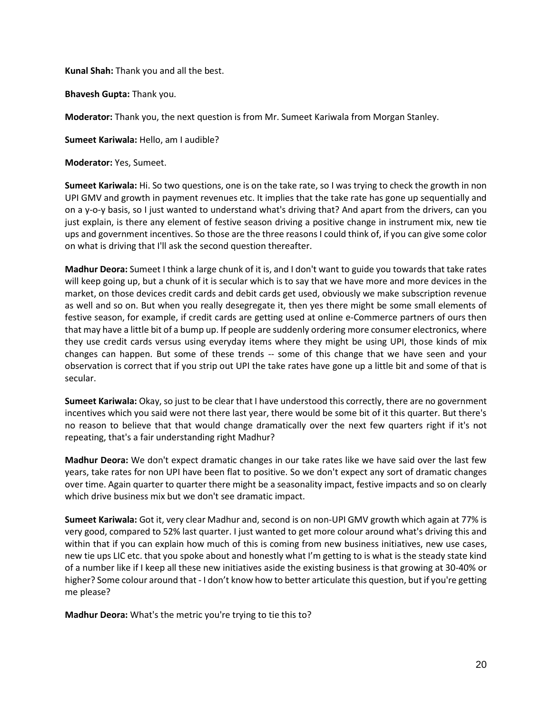**Kunal Shah:** Thank you and all the best.

**Bhavesh Gupta:** Thank you.

**Moderator:** Thank you, the next question is from Mr. Sumeet Kariwala from Morgan Stanley.

**Sumeet Kariwala:** Hello, am I audible?

**Moderator:** Yes, Sumeet.

**Sumeet Kariwala:** Hi. So two questions, one is on the take rate, so I was trying to check the growth in non UPI GMV and growth in payment revenues etc. It implies that the take rate has gone up sequentially and on a y-o-y basis, so I just wanted to understand what's driving that? And apart from the drivers, can you just explain, is there any element of festive season driving a positive change in instrument mix, new tie ups and government incentives. So those are the three reasons I could think of, if you can give some color on what is driving that I'll ask the second question thereafter.

**Madhur Deora:** Sumeet I think a large chunk of it is, and I don't want to guide you towards that take rates will keep going up, but a chunk of it is secular which is to say that we have more and more devices in the market, on those devices credit cards and debit cards get used, obviously we make subscription revenue as well and so on. But when you really desegregate it, then yes there might be some small elements of festive season, for example, if credit cards are getting used at online e-Commerce partners of ours then that may have a little bit of a bump up. If people are suddenly ordering more consumer electronics, where they use credit cards versus using everyday items where they might be using UPI, those kinds of mix changes can happen. But some of these trends -- some of this change that we have seen and your observation is correct that if you strip out UPI the take rates have gone up a little bit and some of that is secular.

**Sumeet Kariwala:** Okay, so just to be clear that I have understood this correctly, there are no government incentives which you said were not there last year, there would be some bit of it this quarter. But there's no reason to believe that that would change dramatically over the next few quarters right if it's not repeating, that's a fair understanding right Madhur?

**Madhur Deora:** We don't expect dramatic changes in our take rates like we have said over the last few years, take rates for non UPI have been flat to positive. So we don't expect any sort of dramatic changes over time. Again quarter to quarter there might be a seasonality impact, festive impacts and so on clearly which drive business mix but we don't see dramatic impact.

**Sumeet Kariwala:** Got it, very clear Madhur and, second is on non-UPI GMV growth which again at 77% is very good, compared to 52% last quarter. I just wanted to get more colour around what's driving this and within that if you can explain how much of this is coming from new business initiatives, new use cases, new tie ups LIC etc. that you spoke about and honestly what I'm getting to is what is the steady state kind of a number like if I keep all these new initiatives aside the existing business is that growing at 30-40% or higher? Some colour around that - I don't know how to better articulate this question, but if you're getting me please?

**Madhur Deora:** What's the metric you're trying to tie this to?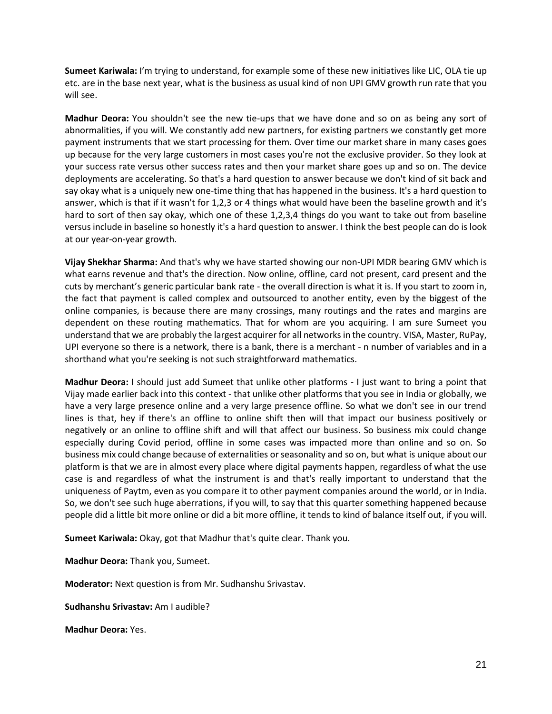**Sumeet Kariwala:** I'm trying to understand, for example some of these new initiatives like LIC, OLA tie up etc. are in the base next year, what is the business as usual kind of non UPI GMV growth run rate that you will see.

**Madhur Deora:** You shouldn't see the new tie-ups that we have done and so on as being any sort of abnormalities, if you will. We constantly add new partners, for existing partners we constantly get more payment instruments that we start processing for them. Over time our market share in many cases goes up because for the very large customers in most cases you're not the exclusive provider. So they look at your success rate versus other success rates and then your market share goes up and so on. The device deployments are accelerating. So that's a hard question to answer because we don't kind of sit back and say okay what is a uniquely new one-time thing that has happened in the business. It's a hard question to answer, which is that if it wasn't for 1,2,3 or 4 things what would have been the baseline growth and it's hard to sort of then say okay, which one of these 1,2,3,4 things do you want to take out from baseline versus include in baseline so honestly it's a hard question to answer. I think the best people can do is look at our year-on-year growth.

**Vijay Shekhar Sharma:** And that's why we have started showing our non-UPI MDR bearing GMV which is what earns revenue and that's the direction. Now online, offline, card not present, card present and the cuts by merchant's generic particular bank rate - the overall direction is what it is. If you start to zoom in, the fact that payment is called complex and outsourced to another entity, even by the biggest of the online companies, is because there are many crossings, many routings and the rates and margins are dependent on these routing mathematics. That for whom are you acquiring. I am sure Sumeet you understand that we are probably the largest acquirer for all networks in the country. VISA, Master, RuPay, UPI everyone so there is a network, there is a bank, there is a merchant - n number of variables and in a shorthand what you're seeking is not such straightforward mathematics.

**Madhur Deora:** I should just add Sumeet that unlike other platforms - I just want to bring a point that Vijay made earlier back into this context - that unlike other platforms that you see in India or globally, we have a very large presence online and a very large presence offline. So what we don't see in our trend lines is that, hey if there's an offline to online shift then will that impact our business positively or negatively or an online to offline shift and will that affect our business. So business mix could change especially during Covid period, offline in some cases was impacted more than online and so on. So business mix could change because of externalities or seasonality and so on, but what is unique about our platform is that we are in almost every place where digital payments happen, regardless of what the use case is and regardless of what the instrument is and that's really important to understand that the uniqueness of Paytm, even as you compare it to other payment companies around the world, or in India. So, we don't see such huge aberrations, if you will, to say that this quarter something happened because people did a little bit more online or did a bit more offline, it tends to kind of balance itself out, if you will.

**Sumeet Kariwala:** Okay, got that Madhur that's quite clear. Thank you.

**Madhur Deora:** Thank you, Sumeet.

**Moderator:** Next question is from Mr. Sudhanshu Srivastav.

**Sudhanshu Srivastav:** Am I audible?

**Madhur Deora:** Yes.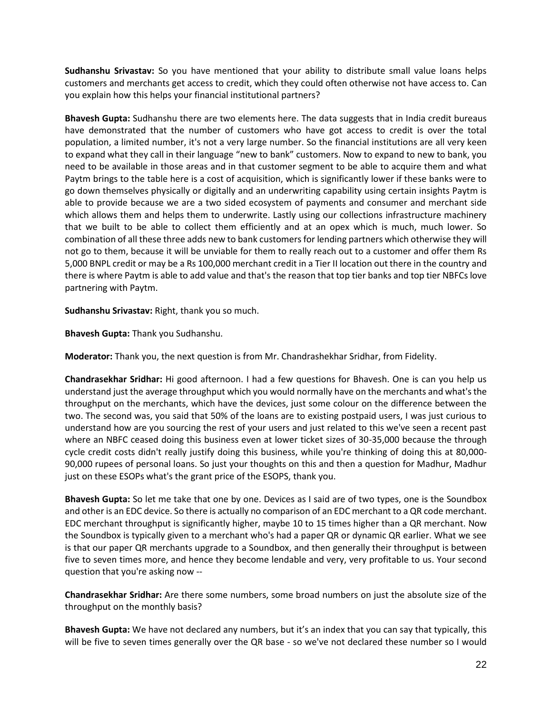**Sudhanshu Srivastav:** So you have mentioned that your ability to distribute small value loans helps customers and merchants get access to credit, which they could often otherwise not have access to. Can you explain how this helps your financial institutional partners?

**Bhavesh Gupta:** Sudhanshu there are two elements here. The data suggests that in India credit bureaus have demonstrated that the number of customers who have got access to credit is over the total population, a limited number, it's not a very large number. So the financial institutions are all very keen to expand what they call in their language "new to bank" customers. Now to expand to new to bank, you need to be available in those areas and in that customer segment to be able to acquire them and what Paytm brings to the table here is a cost of acquisition, which is significantly lower if these banks were to go down themselves physically or digitally and an underwriting capability using certain insights Paytm is able to provide because we are a two sided ecosystem of payments and consumer and merchant side which allows them and helps them to underwrite. Lastly using our collections infrastructure machinery that we built to be able to collect them efficiently and at an opex which is much, much lower. So combination of all these three adds new to bank customers for lending partners which otherwise they will not go to them, because it will be unviable for them to really reach out to a customer and offer them Rs 5,000 BNPL credit or may be a Rs 100,000 merchant credit in a Tier II location out there in the country and there is where Paytm is able to add value and that's the reason that top tier banks and top tier NBFCs love partnering with Paytm.

**Sudhanshu Srivastav:** Right, thank you so much.

**Bhavesh Gupta:** Thank you Sudhanshu.

**Moderator:** Thank you, the next question is from Mr. Chandrashekhar Sridhar, from Fidelity.

**Chandrasekhar Sridhar:** Hi good afternoon. I had a few questions for Bhavesh. One is can you help us understand just the average throughput which you would normally have on the merchants and what's the throughput on the merchants, which have the devices, just some colour on the difference between the two. The second was, you said that 50% of the loans are to existing postpaid users, I was just curious to understand how are you sourcing the rest of your users and just related to this we've seen a recent past where an NBFC ceased doing this business even at lower ticket sizes of 30-35,000 because the through cycle credit costs didn't really justify doing this business, while you're thinking of doing this at 80,000- 90,000 rupees of personal loans. So just your thoughts on this and then a question for Madhur, Madhur just on these ESOPs what's the grant price of the ESOPS, thank you.

**Bhavesh Gupta:** So let me take that one by one. Devices as I said are of two types, one is the Soundbox and other is an EDC device. So there is actually no comparison of an EDC merchant to a QR code merchant. EDC merchant throughput is significantly higher, maybe 10 to 15 times higher than a QR merchant. Now the Soundbox is typically given to a merchant who's had a paper QR or dynamic QR earlier. What we see is that our paper QR merchants upgrade to a Soundbox, and then generally their throughput is between five to seven times more, and hence they become lendable and very, very profitable to us. Your second question that you're asking now --

**Chandrasekhar Sridhar:** Are there some numbers, some broad numbers on just the absolute size of the throughput on the monthly basis?

**Bhavesh Gupta:** We have not declared any numbers, but it's an index that you can say that typically, this will be five to seven times generally over the QR base - so we've not declared these number so I would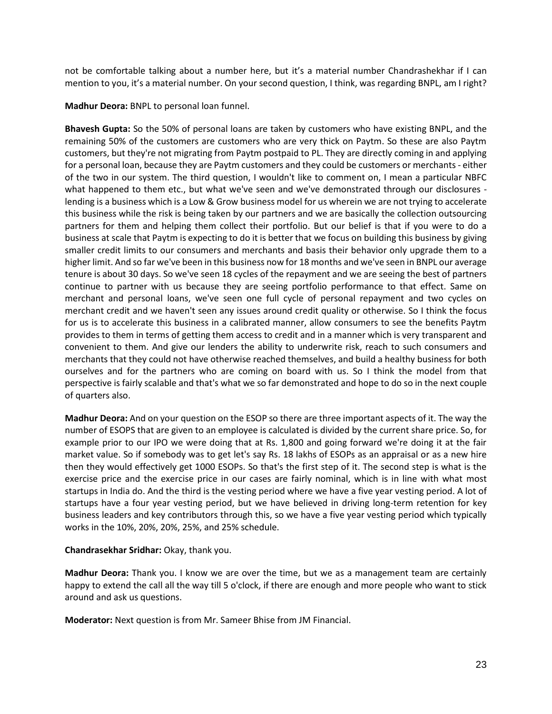not be comfortable talking about a number here, but it's a material number Chandrashekhar if I can mention to you, it's a material number. On your second question, I think, was regarding BNPL, am I right?

**Madhur Deora:** BNPL to personal loan funnel.

**Bhavesh Gupta:** So the 50% of personal loans are taken by customers who have existing BNPL, and the remaining 50% of the customers are customers who are very thick on Paytm. So these are also Paytm customers, but they're not migrating from Paytm postpaid to PL. They are directly coming in and applying for a personal loan, because they are Paytm customers and they could be customers or merchants - either of the two in our system. The third question, I wouldn't like to comment on, I mean a particular NBFC what happened to them etc., but what we've seen and we've demonstrated through our disclosures lending is a business which is a Low & Grow business model for us wherein we are not trying to accelerate this business while the risk is being taken by our partners and we are basically the collection outsourcing partners for them and helping them collect their portfolio. But our belief is that if you were to do a business at scale that Paytm is expecting to do it is better that we focus on building this business by giving smaller credit limits to our consumers and merchants and basis their behavior only upgrade them to a higher limit. And so far we've been in this business now for 18 months and we've seen in BNPL our average tenure is about 30 days. So we've seen 18 cycles of the repayment and we are seeing the best of partners continue to partner with us because they are seeing portfolio performance to that effect. Same on merchant and personal loans, we've seen one full cycle of personal repayment and two cycles on merchant credit and we haven't seen any issues around credit quality or otherwise. So I think the focus for us is to accelerate this business in a calibrated manner, allow consumers to see the benefits Paytm provides to them in terms of getting them access to credit and in a manner which is very transparent and convenient to them. And give our lenders the ability to underwrite risk, reach to such consumers and merchants that they could not have otherwise reached themselves, and build a healthy business for both ourselves and for the partners who are coming on board with us. So I think the model from that perspective is fairly scalable and that's what we so far demonstrated and hope to do so in the next couple of quarters also.

**Madhur Deora:** And on your question on the ESOP so there are three important aspects of it. The way the number of ESOPS that are given to an employee is calculated is divided by the current share price. So, for example prior to our IPO we were doing that at Rs. 1,800 and going forward we're doing it at the fair market value. So if somebody was to get let's say Rs. 18 lakhs of ESOPs as an appraisal or as a new hire then they would effectively get 1000 ESOPs. So that's the first step of it. The second step is what is the exercise price and the exercise price in our cases are fairly nominal, which is in line with what most startups in India do. And the third is the vesting period where we have a five year vesting period. A lot of startups have a four year vesting period, but we have believed in driving long-term retention for key business leaders and key contributors through this, so we have a five year vesting period which typically works in the 10%, 20%, 20%, 25%, and 25% schedule.

## **Chandrasekhar Sridhar:** Okay, thank you.

**Madhur Deora:** Thank you. I know we are over the time, but we as a management team are certainly happy to extend the call all the way till 5 o'clock, if there are enough and more people who want to stick around and ask us questions.

**Moderator:** Next question is from Mr. Sameer Bhise from JM Financial.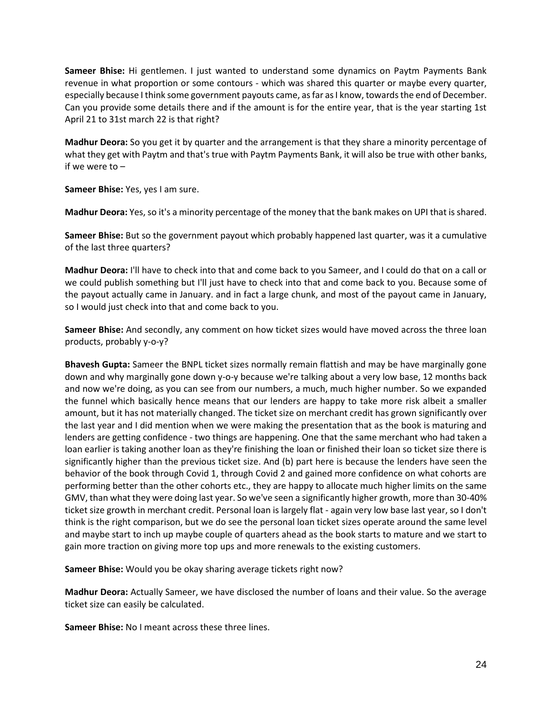**Sameer Bhise:** Hi gentlemen. I just wanted to understand some dynamics on Paytm Payments Bank revenue in what proportion or some contours - which was shared this quarter or maybe every quarter, especially because I think some government payouts came, as far as I know, towards the end of December. Can you provide some details there and if the amount is for the entire year, that is the year starting 1st April 21 to 31st march 22 is that right?

**Madhur Deora:** So you get it by quarter and the arrangement is that they share a minority percentage of what they get with Paytm and that's true with Paytm Payments Bank, it will also be true with other banks, if we were to –

**Sameer Bhise:** Yes, yes I am sure.

**Madhur Deora:** Yes, so it's a minority percentage of the money that the bank makes on UPI that is shared.

**Sameer Bhise:** But so the government payout which probably happened last quarter, was it a cumulative of the last three quarters?

**Madhur Deora:** I'll have to check into that and come back to you Sameer, and I could do that on a call or we could publish something but I'll just have to check into that and come back to you. Because some of the payout actually came in January. and in fact a large chunk, and most of the payout came in January, so I would just check into that and come back to you.

**Sameer Bhise:** And secondly, any comment on how ticket sizes would have moved across the three loan products, probably y-o-y?

**Bhavesh Gupta:** Sameer the BNPL ticket sizes normally remain flattish and may be have marginally gone down and why marginally gone down y-o-y because we're talking about a very low base, 12 months back and now we're doing, as you can see from our numbers, a much, much higher number. So we expanded the funnel which basically hence means that our lenders are happy to take more risk albeit a smaller amount, but it has not materially changed. The ticket size on merchant credit has grown significantly over the last year and I did mention when we were making the presentation that as the book is maturing and lenders are getting confidence - two things are happening. One that the same merchant who had taken a loan earlier is taking another loan as they're finishing the loan or finished their loan so ticket size there is significantly higher than the previous ticket size. And (b) part here is because the lenders have seen the behavior of the book through Covid 1, through Covid 2 and gained more confidence on what cohorts are performing better than the other cohorts etc., they are happy to allocate much higher limits on the same GMV, than what they were doing last year. So we've seen a significantly higher growth, more than 30-40% ticket size growth in merchant credit. Personal loan is largely flat - again very low base last year, so I don't think is the right comparison, but we do see the personal loan ticket sizes operate around the same level and maybe start to inch up maybe couple of quarters ahead as the book starts to mature and we start to gain more traction on giving more top ups and more renewals to the existing customers.

**Sameer Bhise:** Would you be okay sharing average tickets right now?

**Madhur Deora:** Actually Sameer, we have disclosed the number of loans and their value. So the average ticket size can easily be calculated.

**Sameer Bhise:** No I meant across these three lines.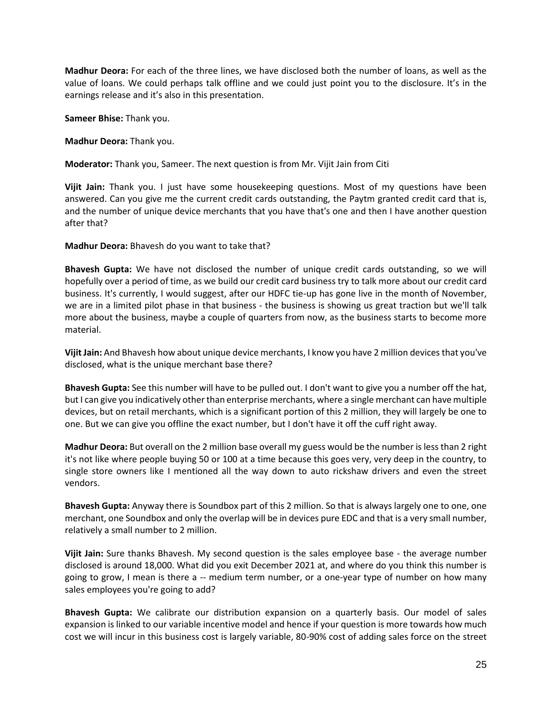**Madhur Deora:** For each of the three lines, we have disclosed both the number of loans, as well as the value of loans. We could perhaps talk offline and we could just point you to the disclosure. It's in the earnings release and it's also in this presentation.

**Sameer Bhise:** Thank you.

**Madhur Deora:** Thank you.

**Moderator:** Thank you, Sameer. The next question is from Mr. Vijit Jain from Citi

**Vijit Jain:** Thank you. I just have some housekeeping questions. Most of my questions have been answered. Can you give me the current credit cards outstanding, the Paytm granted credit card that is, and the number of unique device merchants that you have that's one and then I have another question after that?

**Madhur Deora:** Bhavesh do you want to take that?

**Bhavesh Gupta:** We have not disclosed the number of unique credit cards outstanding, so we will hopefully over a period of time, as we build our credit card business try to talk more about our credit card business. It's currently, I would suggest, after our HDFC tie-up has gone live in the month of November, we are in a limited pilot phase in that business - the business is showing us great traction but we'll talk more about the business, maybe a couple of quarters from now, as the business starts to become more material.

**Vijit Jain:** And Bhavesh how about unique device merchants, I know you have 2 million devices that you've disclosed, what is the unique merchant base there?

**Bhavesh Gupta:** See this number will have to be pulled out. I don't want to give you a number off the hat, but I can give you indicatively other than enterprise merchants, where a single merchant can have multiple devices, but on retail merchants, which is a significant portion of this 2 million, they will largely be one to one. But we can give you offline the exact number, but I don't have it off the cuff right away.

**Madhur Deora:** But overall on the 2 million base overall my guess would be the number is less than 2 right it's not like where people buying 50 or 100 at a time because this goes very, very deep in the country, to single store owners like I mentioned all the way down to auto rickshaw drivers and even the street vendors.

**Bhavesh Gupta:** Anyway there is Soundbox part of this 2 million. So that is always largely one to one, one merchant, one Soundbox and only the overlap will be in devices pure EDC and that is a very small number, relatively a small number to 2 million.

**Vijit Jain:** Sure thanks Bhavesh. My second question is the sales employee base - the average number disclosed is around 18,000. What did you exit December 2021 at, and where do you think this number is going to grow, I mean is there a -- medium term number, or a one-year type of number on how many sales employees you're going to add?

**Bhavesh Gupta:** We calibrate our distribution expansion on a quarterly basis. Our model of sales expansion is linked to our variable incentive model and hence if your question is more towards how much cost we will incur in this business cost is largely variable, 80-90% cost of adding sales force on the street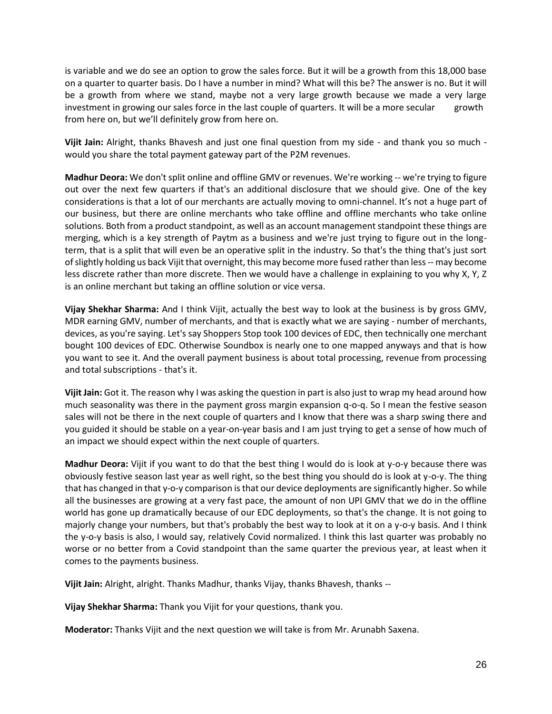is variable and we do see an option to grow the sales force. But it will be a growth from this 18,000 base on a quarter to quarter basis. Do I have a number in mind? What will this be? The answer is no. But it will be a growth from where we stand, maybe not a very large growth because we made a very large investment in growing our sales force in the last couple of quarters. It will be a more secular growth from here on, but we'll definitely grow from here on.

**Vijit Jain:** Alright, thanks Bhavesh and just one final question from my side - and thank you so much would you share the total payment gateway part of the P2M revenues.

**Madhur Deora:** We don't split online and offline GMV or revenues. We're working -- we're trying to figure out over the next few quarters if that's an additional disclosure that we should give. One of the key considerations is that a lot of our merchants are actually moving to omni-channel. It's not a huge part of our business, but there are online merchants who take offline and offline merchants who take online solutions. Both from a product standpoint, as well as an account management standpoint these things are merging, which is a key strength of Paytm as a business and we're just trying to figure out in the longterm, that is a split that will even be an operative split in the industry. So that's the thing that's just sort of slightly holding us back Vijit that overnight, this may become more fused rather than less -- may become less discrete rather than more discrete. Then we would have a challenge in explaining to you why X, Y, Z is an online merchant but taking an offline solution or vice versa.

**Vijay Shekhar Sharma:** And I think Vijit, actually the best way to look at the business is by gross GMV, MDR earning GMV, number of merchants, and that is exactly what we are saying - number of merchants, devices, as you're saying. Let's say Shoppers Stop took 100 devices of EDC, then technically one merchant bought 100 devices of EDC. Otherwise Soundbox is nearly one to one mapped anyways and that is how you want to see it. And the overall payment business is about total processing, revenue from processing and total subscriptions - that's it.

**Vijit Jain:** Got it. The reason why I was asking the question in part is also just to wrap my head around how much seasonality was there in the payment gross margin expansion q-o-q. So I mean the festive season sales will not be there in the next couple of quarters and I know that there was a sharp swing there and you guided it should be stable on a year-on-year basis and I am just trying to get a sense of how much of an impact we should expect within the next couple of quarters.

**Madhur Deora:** Vijit if you want to do that the best thing I would do is look at y-o-y because there was obviously festive season last year as well right, so the best thing you should do is look at y-o-y. The thing that has changed in that y-o-y comparison is that our device deployments are significantly higher. So while all the businesses are growing at a very fast pace, the amount of non UPI GMV that we do in the offline world has gone up dramatically because of our EDC deployments, so that's the change. It is not going to majorly change your numbers, but that's probably the best way to look at it on a y-o-y basis. And I think the y-o-y basis is also, I would say, relatively Covid normalized. I think this last quarter was probably no worse or no better from a Covid standpoint than the same quarter the previous year, at least when it comes to the payments business.

**Vijit Jain:** Alright, alright. Thanks Madhur, thanks Vijay, thanks Bhavesh, thanks --

**Vijay Shekhar Sharma:** Thank you Vijit for your questions, thank you.

**Moderator:** Thanks Vijit and the next question we will take is from Mr. Arunabh Saxena.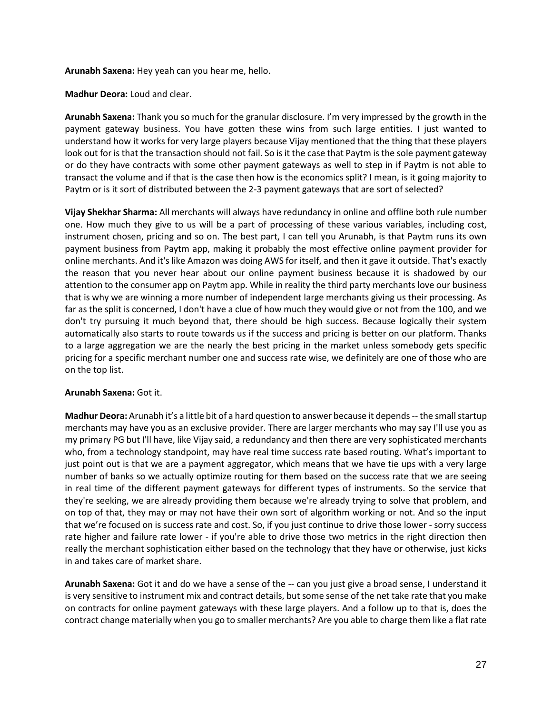**Arunabh Saxena:** Hey yeah can you hear me, hello.

**Madhur Deora:** Loud and clear.

**Arunabh Saxena:** Thank you so much for the granular disclosure. I'm very impressed by the growth in the payment gateway business. You have gotten these wins from such large entities. I just wanted to understand how it works for very large players because Vijay mentioned that the thing that these players look out for is that the transaction should not fail. So is it the case that Paytm is the sole payment gateway or do they have contracts with some other payment gateways as well to step in if Paytm is not able to transact the volume and if that is the case then how is the economics split? I mean, is it going majority to Paytm or is it sort of distributed between the 2-3 payment gateways that are sort of selected?

**Vijay Shekhar Sharma:** All merchants will always have redundancy in online and offline both rule number one. How much they give to us will be a part of processing of these various variables, including cost, instrument chosen, pricing and so on. The best part, I can tell you Arunabh, is that Paytm runs its own payment business from Paytm app, making it probably the most effective online payment provider for online merchants. And it's like Amazon was doing AWS for itself, and then it gave it outside. That's exactly the reason that you never hear about our online payment business because it is shadowed by our attention to the consumer app on Paytm app. While in reality the third party merchants love our business that is why we are winning a more number of independent large merchants giving us their processing. As far as the split is concerned, I don't have a clue of how much they would give or not from the 100, and we don't try pursuing it much beyond that, there should be high success. Because logically their system automatically also starts to route towards us if the success and pricing is better on our platform. Thanks to a large aggregation we are the nearly the best pricing in the market unless somebody gets specific pricing for a specific merchant number one and success rate wise, we definitely are one of those who are on the top list.

## **Arunabh Saxena:** Got it.

**Madhur Deora:** Arunabh it's a little bit of a hard question to answer because it depends -- the small startup merchants may have you as an exclusive provider. There are larger merchants who may say I'll use you as my primary PG but I'll have, like Vijay said, a redundancy and then there are very sophisticated merchants who, from a technology standpoint, may have real time success rate based routing. What's important to just point out is that we are a payment aggregator, which means that we have tie ups with a very large number of banks so we actually optimize routing for them based on the success rate that we are seeing in real time of the different payment gateways for different types of instruments. So the service that they're seeking, we are already providing them because we're already trying to solve that problem, and on top of that, they may or may not have their own sort of algorithm working or not. And so the input that we're focused on is success rate and cost. So, if you just continue to drive those lower - sorry success rate higher and failure rate lower - if you're able to drive those two metrics in the right direction then really the merchant sophistication either based on the technology that they have or otherwise, just kicks in and takes care of market share.

**Arunabh Saxena:** Got it and do we have a sense of the -- can you just give a broad sense, I understand it is very sensitive to instrument mix and contract details, but some sense of the net take rate that you make on contracts for online payment gateways with these large players. And a follow up to that is, does the contract change materially when you go to smaller merchants? Are you able to charge them like a flat rate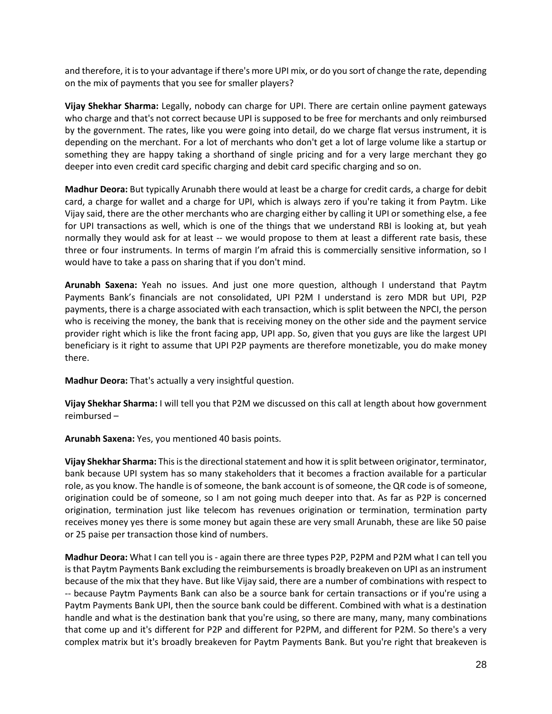and therefore, it is to your advantage if there's more UPI mix, or do you sort of change the rate, depending on the mix of payments that you see for smaller players?

**Vijay Shekhar Sharma:** Legally, nobody can charge for UPI. There are certain online payment gateways who charge and that's not correct because UPI is supposed to be free for merchants and only reimbursed by the government. The rates, like you were going into detail, do we charge flat versus instrument, it is depending on the merchant. For a lot of merchants who don't get a lot of large volume like a startup or something they are happy taking a shorthand of single pricing and for a very large merchant they go deeper into even credit card specific charging and debit card specific charging and so on.

**Madhur Deora:** But typically Arunabh there would at least be a charge for credit cards, a charge for debit card, a charge for wallet and a charge for UPI, which is always zero if you're taking it from Paytm. Like Vijay said, there are the other merchants who are charging either by calling it UPI or something else, a fee for UPI transactions as well, which is one of the things that we understand RBI is looking at, but yeah normally they would ask for at least -- we would propose to them at least a different rate basis, these three or four instruments. In terms of margin I'm afraid this is commercially sensitive information, so I would have to take a pass on sharing that if you don't mind.

**Arunabh Saxena:** Yeah no issues. And just one more question, although I understand that Paytm Payments Bank's financials are not consolidated, UPI P2M I understand is zero MDR but UPI, P2P payments, there is a charge associated with each transaction, which is split between the NPCI, the person who is receiving the money, the bank that is receiving money on the other side and the payment service provider right which is like the front facing app, UPI app. So, given that you guys are like the largest UPI beneficiary is it right to assume that UPI P2P payments are therefore monetizable, you do make money there.

**Madhur Deora:** That's actually a very insightful question.

**Vijay Shekhar Sharma:** I will tell you that P2M we discussed on this call at length about how government reimbursed –

**Arunabh Saxena:** Yes, you mentioned 40 basis points.

**Vijay Shekhar Sharma:** This is the directional statement and how it is split between originator, terminator, bank because UPI system has so many stakeholders that it becomes a fraction available for a particular role, as you know. The handle is of someone, the bank account is of someone, the QR code is of someone, origination could be of someone, so I am not going much deeper into that. As far as P2P is concerned origination, termination just like telecom has revenues origination or termination, termination party receives money yes there is some money but again these are very small Arunabh, these are like 50 paise or 25 paise per transaction those kind of numbers.

**Madhur Deora:** What I can tell you is - again there are three types P2P, P2PM and P2M what I can tell you is that Paytm Payments Bank excluding the reimbursements is broadly breakeven on UPI as an instrument because of the mix that they have. But like Vijay said, there are a number of combinations with respect to -- because Paytm Payments Bank can also be a source bank for certain transactions or if you're using a Paytm Payments Bank UPI, then the source bank could be different. Combined with what is a destination handle and what is the destination bank that you're using, so there are many, many, many combinations that come up and it's different for P2P and different for P2PM, and different for P2M. So there's a very complex matrix but it's broadly breakeven for Paytm Payments Bank. But you're right that breakeven is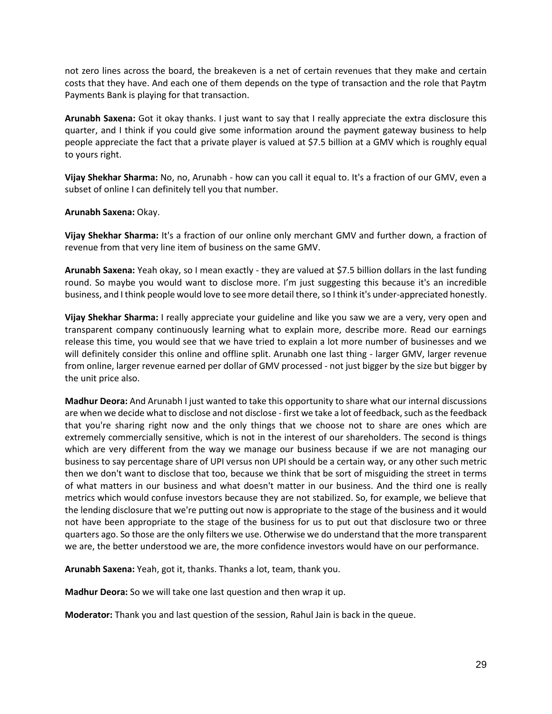not zero lines across the board, the breakeven is a net of certain revenues that they make and certain costs that they have. And each one of them depends on the type of transaction and the role that Paytm Payments Bank is playing for that transaction.

**Arunabh Saxena:** Got it okay thanks. I just want to say that I really appreciate the extra disclosure this quarter, and I think if you could give some information around the payment gateway business to help people appreciate the fact that a private player is valued at \$7.5 billion at a GMV which is roughly equal to yours right.

**Vijay Shekhar Sharma:** No, no, Arunabh - how can you call it equal to. It's a fraction of our GMV, even a subset of online I can definitely tell you that number.

**Arunabh Saxena:** Okay.

**Vijay Shekhar Sharma:** It's a fraction of our online only merchant GMV and further down, a fraction of revenue from that very line item of business on the same GMV.

**Arunabh Saxena:** Yeah okay, so I mean exactly - they are valued at \$7.5 billion dollars in the last funding round. So maybe you would want to disclose more. I'm just suggesting this because it's an incredible business, and I think people would love to see more detail there, so I think it's under-appreciated honestly.

**Vijay Shekhar Sharma:** I really appreciate your guideline and like you saw we are a very, very open and transparent company continuously learning what to explain more, describe more. Read our earnings release this time, you would see that we have tried to explain a lot more number of businesses and we will definitely consider this online and offline split. Arunabh one last thing - larger GMV, larger revenue from online, larger revenue earned per dollar of GMV processed - not just bigger by the size but bigger by the unit price also.

**Madhur Deora:** And Arunabh I just wanted to take this opportunity to share what our internal discussions are when we decide what to disclose and not disclose - first we take a lot of feedback, such as the feedback that you're sharing right now and the only things that we choose not to share are ones which are extremely commercially sensitive, which is not in the interest of our shareholders. The second is things which are very different from the way we manage our business because if we are not managing our business to say percentage share of UPI versus non UPI should be a certain way, or any other such metric then we don't want to disclose that too, because we think that be sort of misguiding the street in terms of what matters in our business and what doesn't matter in our business. And the third one is really metrics which would confuse investors because they are not stabilized. So, for example, we believe that the lending disclosure that we're putting out now is appropriate to the stage of the business and it would not have been appropriate to the stage of the business for us to put out that disclosure two or three quarters ago. So those are the only filters we use. Otherwise we do understand that the more transparent we are, the better understood we are, the more confidence investors would have on our performance.

**Arunabh Saxena:** Yeah, got it, thanks. Thanks a lot, team, thank you.

**Madhur Deora:** So we will take one last question and then wrap it up.

**Moderator:** Thank you and last question of the session, Rahul Jain is back in the queue.